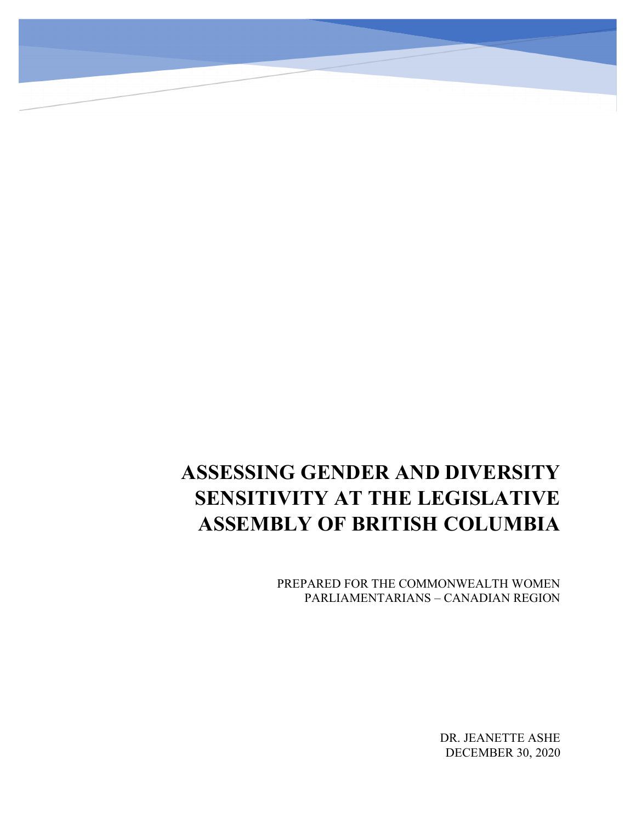# **ASSESSING GENDER AND DIVERSITY SENSITIVITY AT THE LEGISLATIVE ASSEMBLY OF BRITISH COLUMBIA**

PREPARED FOR THE COMMONWEALTH WOMEN PARLIAMENTARIANS – CANADIAN REGION

> DR. JEANETTE ASHE DECEMBER 30, 2020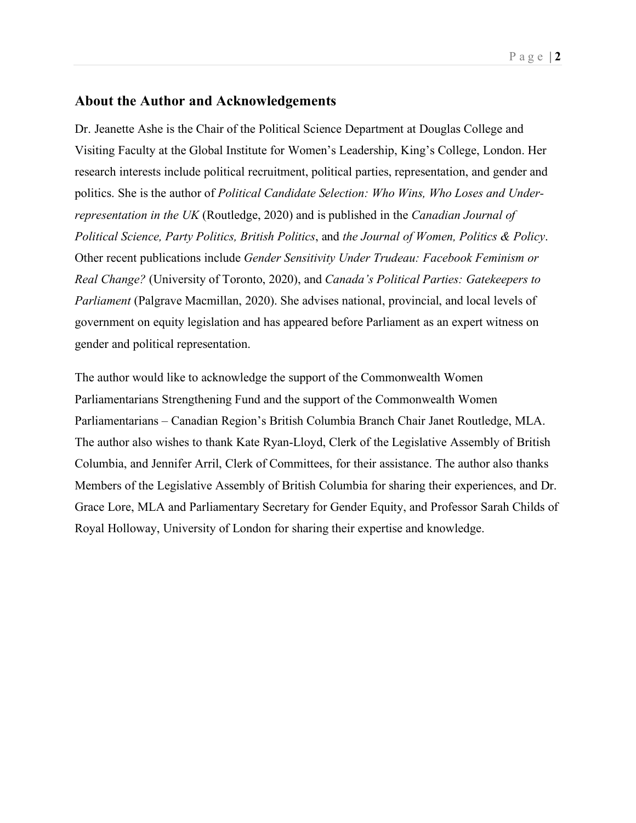## <span id="page-1-0"></span>**About the Author and Acknowledgements**

Dr. Jeanette Ashe is the Chair of the Political Science Department at Douglas College and Visiting Faculty at the Global Institute for Women's Leadership, King's College, London. Her research interests include political recruitment, political parties, representation, and gender and politics. She is the author of *Political Candidate Selection: Who Wins, Who Loses and Underrepresentation in the UK* (Routledge, 2020) and is published in the *Canadian Journal of Political Science, Party Politics, British Politics*, and *the Journal of Women, Politics & Policy*. Other recent publications include *Gender Sensitivity Under Trudeau: Facebook Feminism or Real Change?* (University of Toronto, 2020), and *Canada's Political Parties: Gatekeepers to Parliament* (Palgrave Macmillan, 2020). She advises national, provincial, and local levels of government on equity legislation and has appeared before Parliament as an expert witness on gender and political representation.

The author would like to acknowledge the support of the Commonwealth Women Parliamentarians Strengthening Fund and the support of the Commonwealth Women Parliamentarians – Canadian Region's British Columbia Branch Chair Janet Routledge, MLA. The author also wishes to thank Kate Ryan-Lloyd, Clerk of the Legislative Assembly of British Columbia, and Jennifer Arril, Clerk of Committees, for their assistance. The author also thanks Members of the Legislative Assembly of British Columbia for sharing their experiences, and Dr. Grace Lore, MLA and Parliamentary Secretary for Gender Equity, and Professor Sarah Childs of Royal Holloway, University of London for sharing their expertise and knowledge.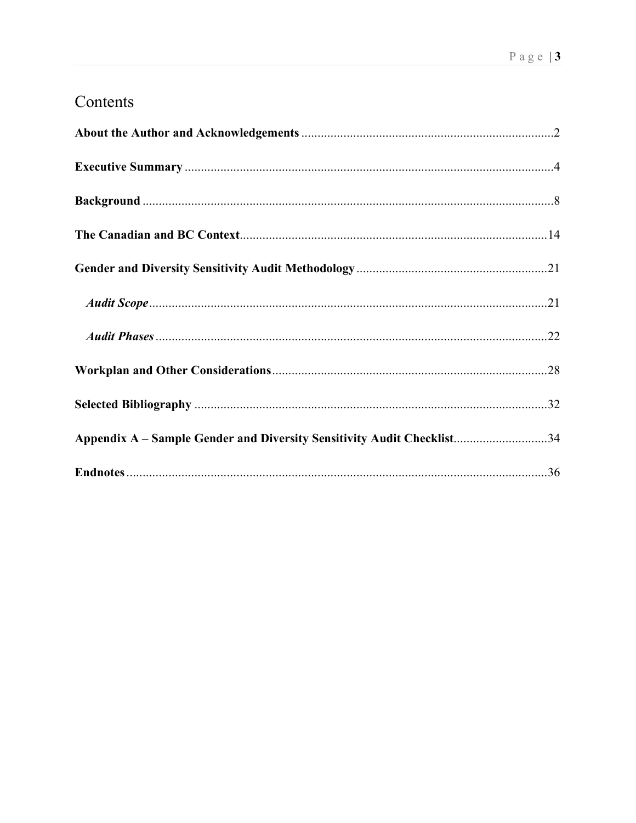## Contents

| Appendix A - Sample Gender and Diversity Sensitivity Audit Checklist34 |
|------------------------------------------------------------------------|
|                                                                        |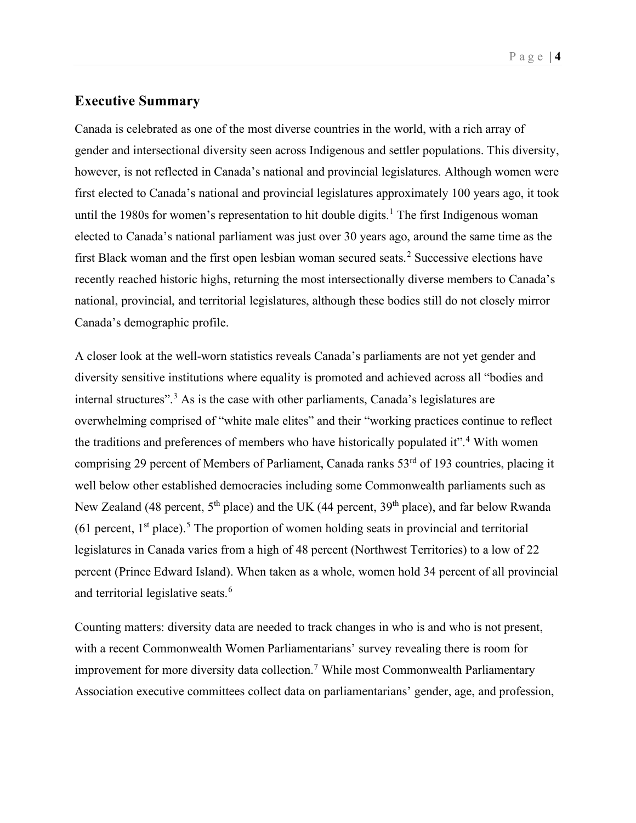## <span id="page-3-0"></span>**Executive Summary**

Canada is celebrated as one of the most diverse countries in the world, with a rich array of gender and intersectional diversity seen across Indigenous and settler populations. This diversity, however, is not reflected in Canada's national and provincial legislatures. Although women were first elected to Canada's national and provincial legislatures approximately 100 years ago, it took until the [1](#page-36-0)980s for women's representation to hit double digits.<sup>1</sup> The first Indigenous woman elected to Canada's national parliament was just over 30 years ago, around the same time as the first Black woman and the first open lesbian woman secured seats. [2](#page-36-1) Successive elections have recently reached historic highs, returning the most intersectionally diverse members to Canada's national, provincial, and territorial legislatures, although these bodies still do not closely mirror Canada's demographic profile.

A closer look at the well-worn statistics reveals Canada's parliaments are not yet gender and diversity sensitive institutions where equality is promoted and achieved across all "bodies and internal structures".<sup>[3](#page-36-2)</sup> As is the case with other parliaments, Canada's legislatures are overwhelming comprised of "white male elites" and their "working practices continue to reflect the traditions and preferences of members who have historically populated it".<sup>[4](#page-36-3)</sup> With women comprising 29 percent of Members of Parliament, Canada ranks 53<sup>rd</sup> of 193 countries, placing it well below other established democracies including some Commonwealth parliaments such as New Zealand (48 percent,  $5<sup>th</sup>$  place) and the UK (44 percent, 39<sup>th</sup> place), and far below Rwanda (61 percent,  $1<sup>st</sup>$  place).<sup>[5](#page-36-4)</sup> The proportion of women holding seats in provincial and territorial legislatures in Canada varies from a high of 48 percent (Northwest Territories) to a low of 22 percent (Prince Edward Island). When taken as a whole, women hold 34 percent of all provincial and territorial legislative seats.<sup>[6](#page-36-5)</sup>

Counting matters: diversity data are needed to track changes in who is and who is not present, with a recent Commonwealth Women Parliamentarians' survey revealing there is room for improvement for more diversity data collection.<sup>[7](#page-36-6)</sup> While most Commonwealth Parliamentary Association executive committees collect data on parliamentarians' gender, age, and profession,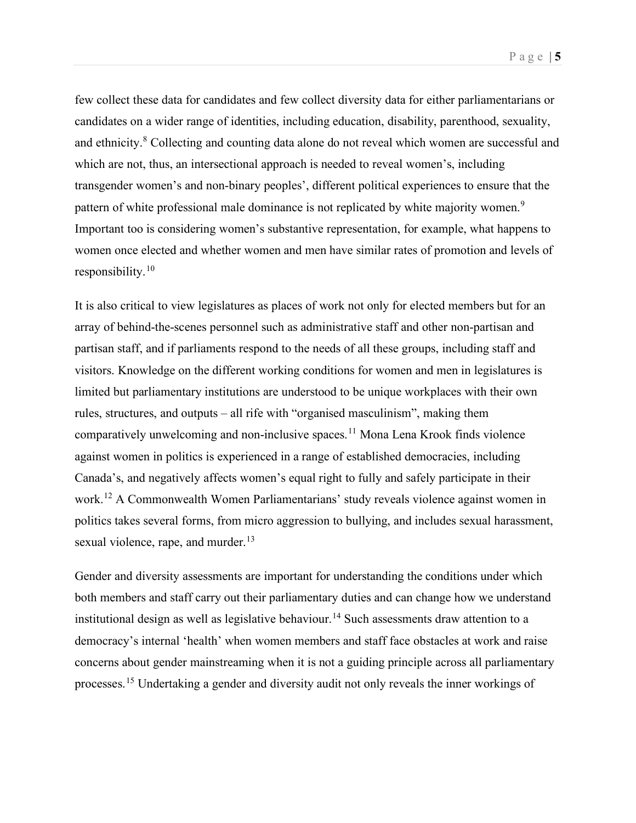few collect these data for candidates and few collect diversity data for either parliamentarians or candidates on a wider range of identities, including education, disability, parenthood, sexuality, and ethnicity.<sup>[8](#page-36-7)</sup> Collecting and counting data alone do not reveal which women are successful and which are not, thus, an intersectional approach is needed to reveal women's, including transgender women's and non-binary peoples', different political experiences to ensure that the pattern of white professional male dominance is not replicated by white majority women.<sup>[9](#page-36-8)</sup> Important too is considering women's substantive representation, for example, what happens to women once elected and whether women and men have similar rates of promotion and levels of responsibility.[10](#page-36-9)

It is also critical to view legislatures as places of work not only for elected members but for an array of behind-the-scenes personnel such as administrative staff and other non-partisan and partisan staff, and if parliaments respond to the needs of all these groups, including staff and visitors. Knowledge on the different working conditions for women and men in legislatures is limited but parliamentary institutions are understood to be unique workplaces with their own rules, structures, and outputs – all rife with "organised masculinism", making them comparatively unwelcoming and non-inclusive spaces.<sup>[11](#page-36-10)</sup> Mona Lena Krook finds violence against women in politics is experienced in a range of established democracies, including Canada's, and negatively affects women's equal right to fully and safely participate in their work. [12](#page-36-11) A Commonwealth Women Parliamentarians' study reveals violence against women in politics takes several forms, from micro aggression to bullying, and includes sexual harassment, sexual violence, rape, and murder.<sup>[13](#page-36-12)</sup>

Gender and diversity assessments are important for understanding the conditions under which both members and staff carry out their parliamentary duties and can change how we understand institutional design as well as legislative behaviour. [14](#page-36-13) Such assessments draw attention to a democracy's internal 'health' when women members and staff face obstacles at work and raise concerns about gender mainstreaming when it is not a guiding principle across all parliamentary processes.[15](#page-36-14) Undertaking a gender and diversity audit not only reveals the inner workings of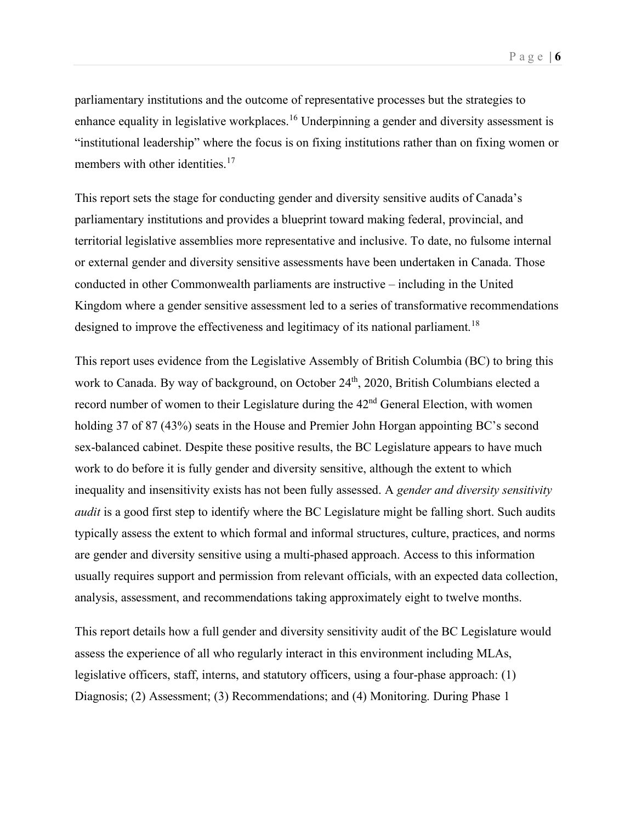parliamentary institutions and the outcome of representative processes but the strategies to enhance equality in legislative workplaces.<sup>[16](#page-36-15)</sup> Underpinning a gender and diversity assessment is "institutional leadership" where the focus is on fixing institutions rather than on fixing women or members with other identities.<sup>[17](#page-36-16)</sup>

This report sets the stage for conducting gender and diversity sensitive audits of Canada's parliamentary institutions and provides a blueprint toward making federal, provincial, and territorial legislative assemblies more representative and inclusive. To date, no fulsome internal or external gender and diversity sensitive assessments have been undertaken in Canada. Those conducted in other Commonwealth parliaments are instructive – including in the United Kingdom where a gender sensitive assessment led to a series of transformative recommendations designed to improve the effectiveness and legitimacy of its national parliament.<sup>[18](#page-36-17)</sup>

This report uses evidence from the Legislative Assembly of British Columbia (BC) to bring this work to Canada. By way of background, on October 24<sup>th</sup>, 2020, British Columbians elected a record number of women to their Legislature during the 42<sup>nd</sup> General Election, with women holding 37 of 87 (43%) seats in the House and Premier John Horgan appointing BC's second sex-balanced cabinet. Despite these positive results, the BC Legislature appears to have much work to do before it is fully gender and diversity sensitive, although the extent to which inequality and insensitivity exists has not been fully assessed. A *gender and diversity sensitivity audit* is a good first step to identify where the BC Legislature might be falling short. Such audits typically assess the extent to which formal and informal structures, culture, practices, and norms are gender and diversity sensitive using a multi-phased approach. Access to this information usually requires support and permission from relevant officials, with an expected data collection, analysis, assessment, and recommendations taking approximately eight to twelve months.

This report details how a full gender and diversity sensitivity audit of the BC Legislature would assess the experience of all who regularly interact in this environment including MLAs, legislative officers, staff, interns, and statutory officers, using a four-phase approach: (1) Diagnosis; (2) Assessment; (3) Recommendations; and (4) Monitoring. During Phase 1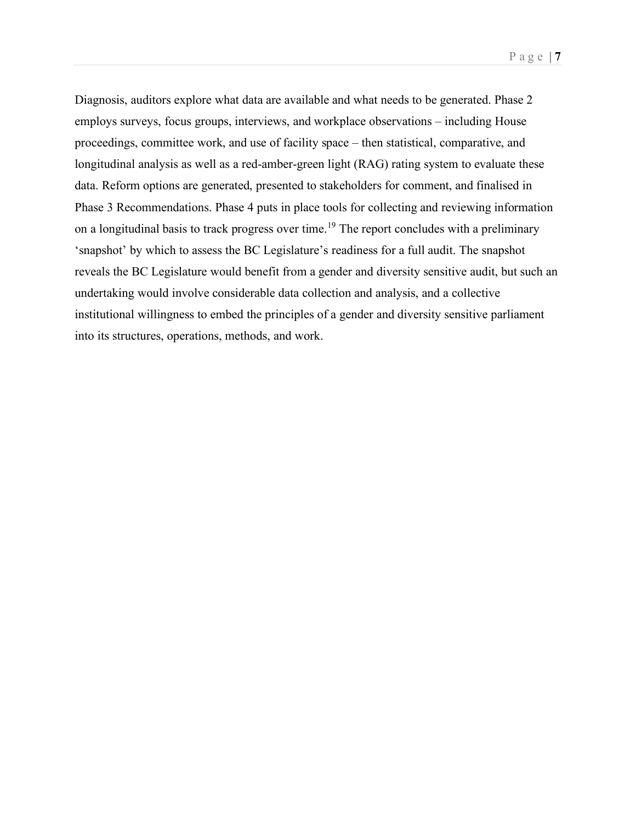Diagnosis, auditors explore what data are available and what needs to be generated. Phase 2 employs surveys, focus groups, interviews, and workplace observations – including House proceedings, committee work, and use of facility space – then statistical, comparative, and longitudinal analysis as well as a red-amber-green light (RAG) rating system to evaluate these data. Reform options are generated, presented to stakeholders for comment, and finalised in Phase 3 Recommendations. Phase 4 puts in place tools for collecting and reviewing information on a longitudinal basis to track progress over time.<sup>[19](#page-36-18)</sup> The report concludes with a preliminary 'snapshot' by which to assess the BC Legislature's readiness for a full audit. The snapshot reveals the BC Legislature would benefit from a gender and diversity sensitive audit, but such an undertaking would involve considerable data collection and analysis, and a collective institutional willingness to embed the principles of a gender and diversity sensitive parliament into its structures, operations, methods, and work.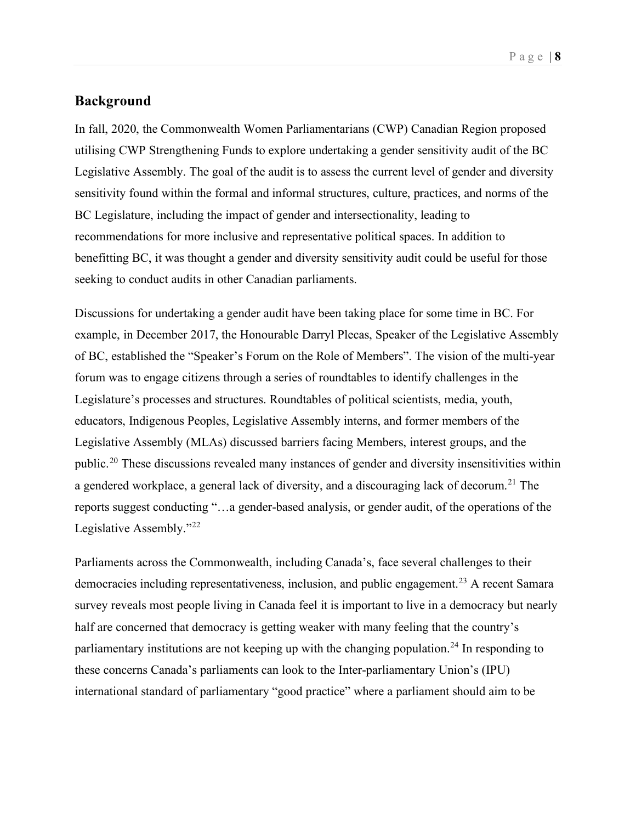## <span id="page-7-0"></span>**Background**

In fall, 2020, the Commonwealth Women Parliamentarians (CWP) Canadian Region proposed utilising CWP Strengthening Funds to explore undertaking a gender sensitivity audit of the BC Legislative Assembly. The goal of the audit is to assess the current level of gender and diversity sensitivity found within the formal and informal structures, culture, practices, and norms of the BC Legislature, including the impact of gender and intersectionality, leading to recommendations for more inclusive and representative political spaces. In addition to benefitting BC, it was thought a gender and diversity sensitivity audit could be useful for those seeking to conduct audits in other Canadian parliaments.

Discussions for undertaking a gender audit have been taking place for some time in BC. For example, in December 2017, the Honourable Darryl Plecas, Speaker of the Legislative Assembly of BC, established the "Speaker's Forum on the Role of Members". The vision of the multi-year forum was to engage citizens through a series of roundtables to identify challenges in the Legislature's processes and structures. Roundtables of political scientists, media, youth, educators, Indigenous Peoples, Legislative Assembly interns, and former members of the Legislative Assembly (MLAs) discussed barriers facing Members, interest groups, and the public.[20](#page-36-19) These discussions revealed many instances of gender and diversity insensitivities within a gendered workplace, a general lack of diversity, and a discouraging lack of decorum.<sup>[21](#page-36-20)</sup> The reports suggest conducting "…a gender-based analysis, or gender audit, of the operations of the Legislative Assembly."<sup>[22](#page-36-21)</sup>

Parliaments across the Commonwealth, including Canada's, face several challenges to their democracies including representativeness, inclusion, and public engagement.<sup>[23](#page-36-22)</sup> A recent Samara survey reveals most people living in Canada feel it is important to live in a democracy but nearly half are concerned that democracy is getting weaker with many feeling that the country's parliamentary institutions are not keeping up with the changing population.<sup>[24](#page-36-23)</sup> In responding to these concerns Canada's parliaments can look to the Inter-parliamentary Union's (IPU) international standard of parliamentary "good practice" where a parliament should aim to be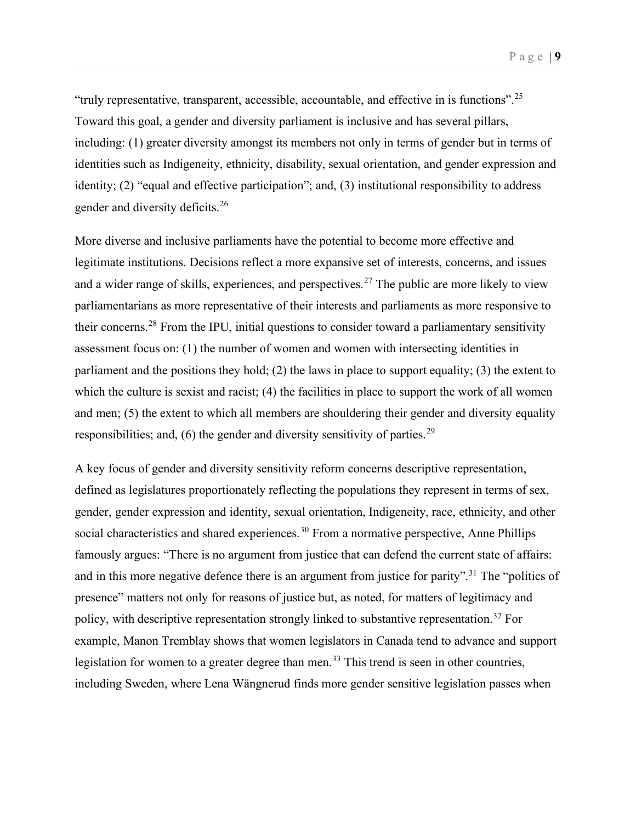Page | **9**

"truly representative, transparent, accessible, accountable, and effective in is functions".[25](#page-36-24) Toward this goal, a gender and diversity parliament is inclusive and has several pillars, including: (1) greater diversity amongst its members not only in terms of gender but in terms of identities such as Indigeneity, ethnicity, disability, sexual orientation, and gender expression and identity; (2) "equal and effective participation"; and, (3) institutional responsibility to address gender and diversity deficits.[26](#page-36-25)

More diverse and inclusive parliaments have the potential to become more effective and legitimate institutions. Decisions reflect a more expansive set of interests, concerns, and issues and a wider range of skills, experiences, and perspectives.<sup>[27](#page-36-26)</sup> The public are more likely to view parliamentarians as more representative of their interests and parliaments as more responsive to their concerns.[28](#page-36-27) From the IPU, initial questions to consider toward a parliamentary sensitivity assessment focus on: (1) the number of women and women with intersecting identities in parliament and the positions they hold; (2) the laws in place to support equality; (3) the extent to which the culture is sexist and racist; (4) the facilities in place to support the work of all women and men; (5) the extent to which all members are shouldering their gender and diversity equality responsibilities; and,  $(6)$  the gender and diversity sensitivity of parties.<sup>[29](#page-36-28)</sup>

A key focus of gender and diversity sensitivity reform concerns descriptive representation, defined as legislatures proportionately reflecting the populations they represent in terms of sex, gender, gender expression and identity, sexual orientation, Indigeneity, race, ethnicity, and other social characteristics and shared experiences.<sup>[30](#page-36-29)</sup> From a normative perspective, Anne Phillips famously argues: "There is no argument from justice that can defend the current state of affairs: and in this more negative defence there is an argument from justice for parity".<sup>[31](#page-36-30)</sup> The "politics of presence" matters not only for reasons of justice but, as noted, for matters of legitimacy and policy, with descriptive representation strongly linked to substantive representation.<sup>[32](#page-36-31)</sup> For example, Manon Tremblay shows that women legislators in Canada tend to advance and support legislation for women to a greater degree than men.<sup>[33](#page-36-32)</sup> This trend is seen in other countries, including Sweden, where Lena Wängnerud finds more gender sensitive legislation passes when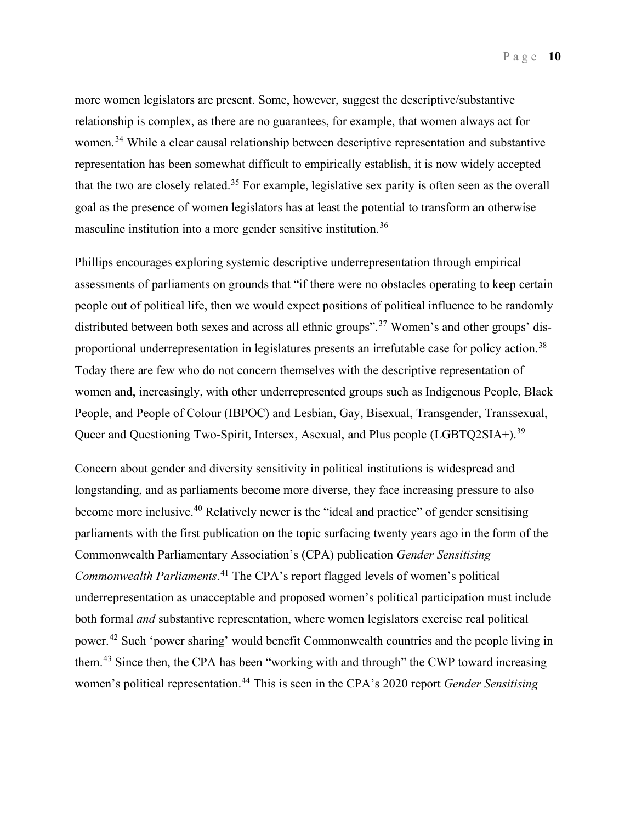more women legislators are present. Some, however, suggest the descriptive/substantive relationship is complex, as there are no guarantees, for example, that women always act for women.<sup>[34](#page-36-33)</sup> While a clear causal relationship between descriptive representation and substantive representation has been somewhat difficult to empirically establish, it is now widely accepted that the two are closely related.[35](#page-36-34) For example, legislative sex parity is often seen as the overall goal as the presence of women legislators has at least the potential to transform an otherwise masculine institution into a more gender sensitive institution.[36](#page-36-35)

Phillips encourages exploring systemic descriptive underrepresentation through empirical assessments of parliaments on grounds that "if there were no obstacles operating to keep certain people out of political life, then we would expect positions of political influence to be randomly distributed between both sexes and across all ethnic groups".<sup>[37](#page-36-36)</sup> Women's and other groups' dis-proportional underrepresentation in legislatures presents an irrefutable case for policy action.<sup>[38](#page-36-37)</sup> Today there are few who do not concern themselves with the descriptive representation of women and, increasingly, with other underrepresented groups such as Indigenous People, Black People, and People of Colour (IBPOC) and Lesbian, Gay, Bisexual, Transgender, Transsexual, Queer and Questioning Two-Spirit, Intersex, Asexual, and Plus people (LGBTQ2SIA+).<sup>[39](#page-36-38)</sup>

Concern about gender and diversity sensitivity in political institutions is widespread and longstanding, and as parliaments become more diverse, they face increasing pressure to also become more inclusive.<sup>[40](#page-36-39)</sup> Relatively newer is the "ideal and practice" of gender sensitising parliaments with the first publication on the topic surfacing twenty years ago in the form of the Commonwealth Parliamentary Association's (CPA) publication *Gender Sensitising Commonwealth Parliaments*. [41](#page-37-0) The CPA's report flagged levels of women's political underrepresentation as unacceptable and proposed women's political participation must include both formal *and* substantive representation, where women legislators exercise real political power.[42](#page-37-1) Such 'power sharing' would benefit Commonwealth countries and the people living in them.<sup>[43](#page-37-2)</sup> Since then, the CPA has been "working with and through" the CWP toward increasing women's political representation.<sup>[44](#page-37-3)</sup> This is seen in the CPA's 2020 report *Gender Sensitising*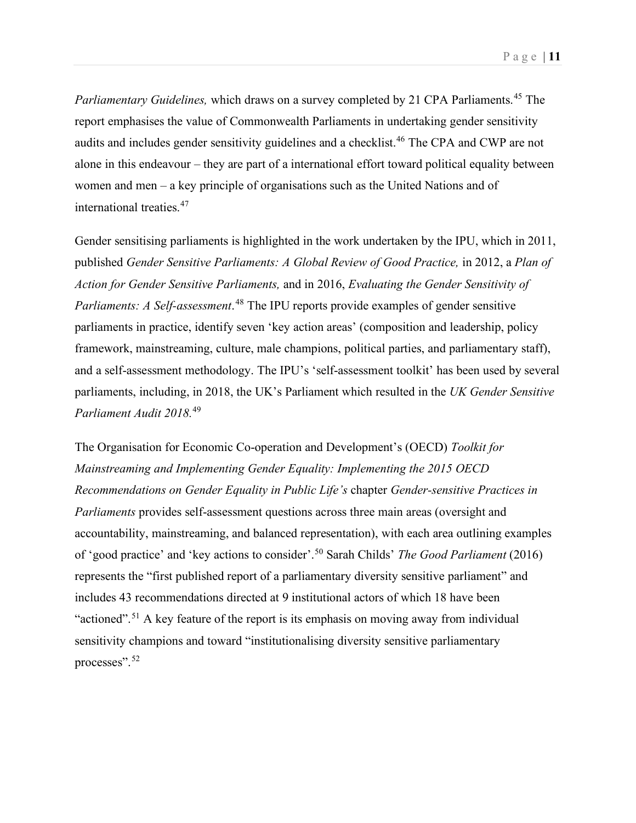*Parliamentary Guidelines, which draws on a survey completed by 21 CPA Parliaments.<sup>[45](#page-37-4)</sup> The* report emphasises the value of Commonwealth Parliaments in undertaking gender sensitivity audits and includes gender sensitivity guidelines and a checklist.<sup>[46](#page-37-5)</sup> The CPA and CWP are not alone in this endeavour – they are part of a international effort toward political equality between women and men – a key principle of organisations such as the United Nations and of international treaties.[47](#page-37-6)

Gender sensitising parliaments is highlighted in the work undertaken by the IPU, which in 2011, published *Gender Sensitive Parliaments: A Global Review of Good Practice,* in 2012, a *Plan of Action for Gender Sensitive Parliaments,* and in 2016, *Evaluating the Gender Sensitivity of Parliaments: A Self-assessment*. [48](#page-37-7) The IPU reports provide examples of gender sensitive parliaments in practice, identify seven 'key action areas' (composition and leadership, policy framework, mainstreaming, culture, male champions, political parties, and parliamentary staff), and a self-assessment methodology. The IPU's 'self-assessment toolkit' has been used by several parliaments, including, in 2018, the UK's Parliament which resulted in the *UK Gender Sensitive Parliament Audit 2018.*[49](#page-37-8)

The Organisation for Economic Co-operation and Development's (OECD) *Toolkit for Mainstreaming and Implementing Gender Equality: Implementing the 2015 OECD Recommendations on Gender Equality in Public Life's* chapter *Gender-sensitive Practices in Parliaments* provides self-assessment questions across three main areas (oversight and accountability, mainstreaming, and balanced representation), with each area outlining examples of 'good practice' and 'key actions to consider'.[50](#page-37-9) Sarah Childs' *The Good Parliament* (2016) represents the "first published report of a parliamentary diversity sensitive parliament" and includes 43 recommendations directed at 9 institutional actors of which 18 have been "actioned".<sup>[51](#page-37-10)</sup> A key feature of the report is its emphasis on moving away from individual sensitivity champions and toward "institutionalising diversity sensitive parliamentary processes".[52](#page-37-11)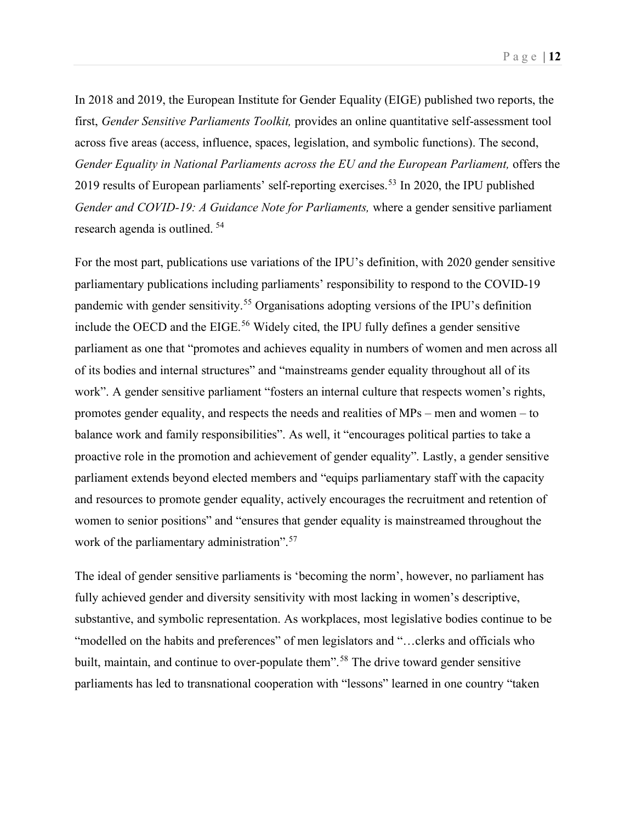In 2018 and 2019, the European Institute for Gender Equality (EIGE) published two reports, the first, *Gender Sensitive Parliaments Toolkit,* provides an online quantitative self-assessment tool across five areas (access, influence, spaces, legislation, and symbolic functions). The second, *Gender Equality in National Parliaments across the EU and the European Parliament, offers the* 2019 results of European parliaments' self-reporting exercises. [53](#page-37-12) In 2020, the IPU published *Gender and COVID-19: A Guidance Note for Parliaments,* where a gender sensitive parliament research agenda is outlined. [54](#page-37-13)

For the most part, publications use variations of the IPU's definition, with 2020 gender sensitive parliamentary publications including parliaments' responsibility to respond to the COVID-19 pandemic with gender sensitivity.[55](#page-37-14) Organisations adopting versions of the IPU's definition include the OECD and the EIGE. [56](#page-37-15) Widely cited, the IPU fully defines a gender sensitive parliament as one that "promotes and achieves equality in numbers of women and men across all of its bodies and internal structures" and "mainstreams gender equality throughout all of its work". A gender sensitive parliament "fosters an internal culture that respects women's rights, promotes gender equality, and respects the needs and realities of MPs – men and women – to balance work and family responsibilities". As well, it "encourages political parties to take a proactive role in the promotion and achievement of gender equality". Lastly, a gender sensitive parliament extends beyond elected members and "equips parliamentary staff with the capacity and resources to promote gender equality, actively encourages the recruitment and retention of women to senior positions" and "ensures that gender equality is mainstreamed throughout the work of the parliamentary administration".<sup>[57](#page-37-16)</sup>

The ideal of gender sensitive parliaments is 'becoming the norm', however, no parliament has fully achieved gender and diversity sensitivity with most lacking in women's descriptive, substantive, and symbolic representation. As workplaces, most legislative bodies continue to be "modelled on the habits and preferences" of men legislators and "…clerks and officials who built, maintain, and continue to over-populate them".<sup>[58](#page-37-17)</sup> The drive toward gender sensitive parliaments has led to transnational cooperation with "lessons" learned in one country "taken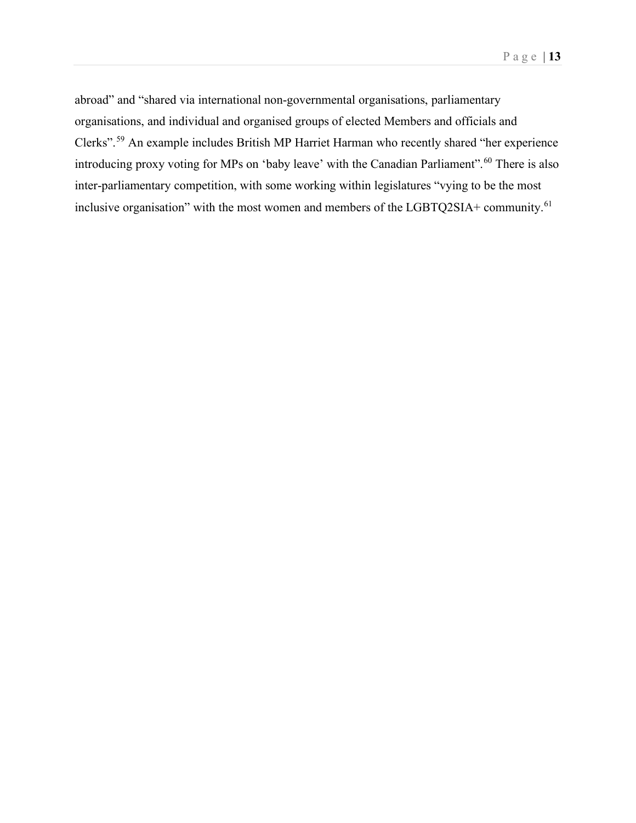abroad" and "shared via international non-governmental organisations, parliamentary organisations, and individual and organised groups of elected Members and officials and Clerks". [59](#page-37-18) An example includes British MP Harriet Harman who recently shared "her experience introducing proxy voting for MPs on 'baby leave' with the Canadian Parliament".<sup>[60](#page-37-19)</sup> There is also inter-parliamentary competition, with some working within legislatures "vying to be the most inclusive organisation" with the most women and members of the LGBTQ2SIA+ community.<sup>[61](#page-37-20)</sup>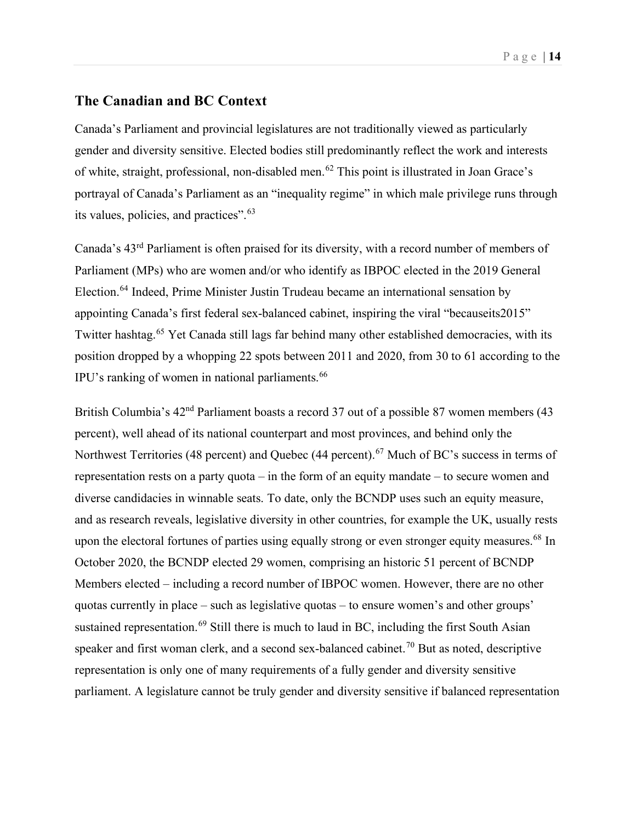## <span id="page-13-0"></span>**The Canadian and BC Context**

Canada's Parliament and provincial legislatures are not traditionally viewed as particularly gender and diversity sensitive. Elected bodies still predominantly reflect the work and interests of white, straight, professional, non-disabled men.[62](#page-37-21) This point is illustrated in Joan Grace's portrayal of Canada's Parliament as an "inequality regime" in which male privilege runs through its values, policies, and practices".[63](#page-37-22)

Canada's 43rd Parliament is often praised for its diversity, with a record number of members of Parliament (MPs) who are women and/or who identify as IBPOC elected in the 2019 General Election.[64](#page-37-23) Indeed, Prime Minister Justin Trudeau became an international sensation by appointing Canada's first federal sex-balanced cabinet, inspiring the viral "becauseits2015" Twitter hashtag.<sup>[65](#page-37-24)</sup> Yet Canada still lags far behind many other established democracies, with its position dropped by a whopping 22 spots between 2011 and 2020, from 30 to 61 according to the IPU's ranking of women in national parliaments.<sup>[66](#page-37-25)</sup>

British Columbia's  $42<sup>nd</sup>$  Parliament boasts a record 37 out of a possible 87 women members (43 percent), well ahead of its national counterpart and most provinces, and behind only the Northwest Territories (48 percent) and Quebec (44 percent).<sup>[67](#page-37-26)</sup> Much of BC's success in terms of representation rests on a party quota – in the form of an equity mandate – to secure women and diverse candidacies in winnable seats. To date, only the BCNDP uses such an equity measure, and as research reveals, legislative diversity in other countries, for example the UK, usually rests upon the electoral fortunes of parties using equally strong or even stronger equity measures.<sup>[68](#page-37-27)</sup> In October 2020, the BCNDP elected 29 women, comprising an historic 51 percent of BCNDP Members elected – including a record number of IBPOC women. However, there are no other quotas currently in place – such as legislative quotas – to ensure women's and other groups' sustained representation.<sup>[69](#page-37-28)</sup> Still there is much to laud in BC, including the first South Asian speaker and first woman clerk, and a second sex-balanced cabinet.<sup>[70](#page-37-29)</sup> But as noted, descriptive representation is only one of many requirements of a fully gender and diversity sensitive parliament. A legislature cannot be truly gender and diversity sensitive if balanced representation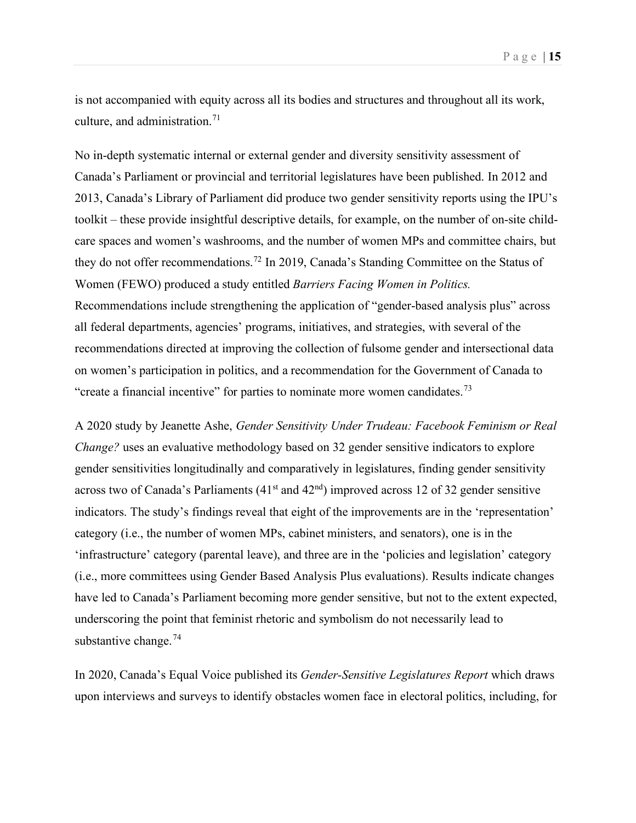is not accompanied with equity across all its bodies and structures and throughout all its work, culture, and administration.<sup>[71](#page-37-30)</sup>

No in-depth systematic internal or external gender and diversity sensitivity assessment of Canada's Parliament or provincial and territorial legislatures have been published. In 2012 and 2013, Canada's Library of Parliament did produce two gender sensitivity reports using the IPU's toolkit – these provide insightful descriptive details, for example, on the number of on-site childcare spaces and women's washrooms, and the number of women MPs and committee chairs, but they do not offer recommendations.<sup>[72](#page-37-31)</sup> In 2019, Canada's Standing Committee on the Status of Women (FEWO) produced a study entitled *Barriers Facing Women in Politics.*  Recommendations include strengthening the application of "gender-based analysis plus" across all federal departments, agencies' programs, initiatives, and strategies, with several of the recommendations directed at improving the collection of fulsome gender and intersectional data on women's participation in politics, and a recommendation for the Government of Canada to "create a financial incentive" for parties to nominate more women candidates.<sup>[73](#page-37-32)</sup>

A 2020 study by Jeanette Ashe, *Gender Sensitivity Under Trudeau: Facebook Feminism or Real Change?* uses an evaluative methodology based on 32 gender sensitive indicators to explore gender sensitivities longitudinally and comparatively in legislatures, finding gender sensitivity across two of Canada's Parliaments ( $41<sup>st</sup>$  and  $42<sup>nd</sup>$ ) improved across 12 of 32 gender sensitive indicators. The study's findings reveal that eight of the improvements are in the 'representation' category (i.e., the number of women MPs, cabinet ministers, and senators), one is in the 'infrastructure' category (parental leave), and three are in the 'policies and legislation' category (i.e., more committees using Gender Based Analysis Plus evaluations). Results indicate changes have led to Canada's Parliament becoming more gender sensitive, but not to the extent expected, underscoring the point that feminist rhetoric and symbolism do not necessarily lead to substantive change.<sup>[74](#page-37-33)</sup>

In 2020, Canada's Equal Voice published its *Gender-Sensitive Legislatures Report* which draws upon interviews and surveys to identify obstacles women face in electoral politics, including, for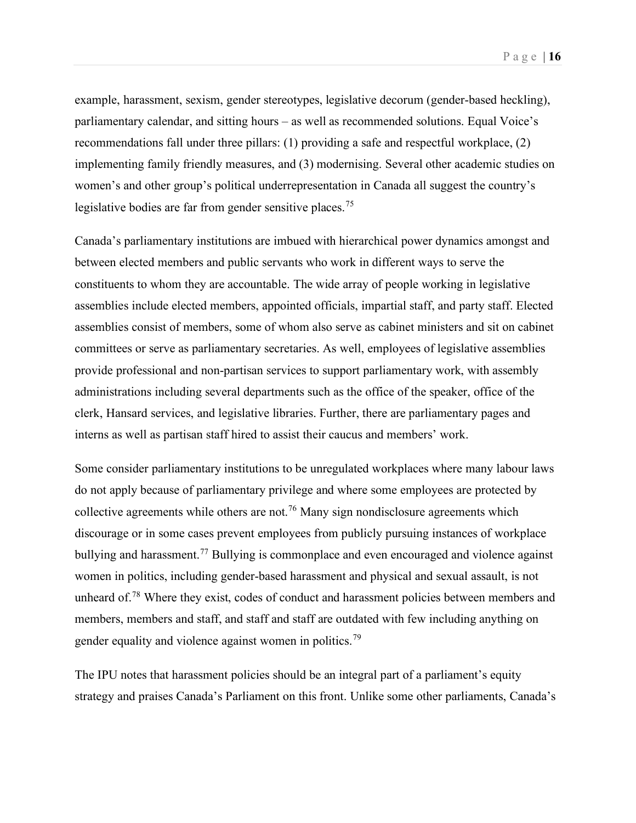example, harassment, sexism, gender stereotypes, legislative decorum (gender-based heckling), parliamentary calendar, and sitting hours – as well as recommended solutions. Equal Voice's recommendations fall under three pillars: (1) providing a safe and respectful workplace, (2) implementing family friendly measures, and (3) modernising. Several other academic studies on women's and other group's political underrepresentation in Canada all suggest the country's legislative bodies are far from gender sensitive places.<sup>[75](#page-37-34)</sup>

Canada's parliamentary institutions are imbued with hierarchical power dynamics amongst and between elected members and public servants who work in different ways to serve the constituents to whom they are accountable. The wide array of people working in legislative assemblies include elected members, appointed officials, impartial staff, and party staff. Elected assemblies consist of members, some of whom also serve as cabinet ministers and sit on cabinet committees or serve as parliamentary secretaries. As well, employees of legislative assemblies provide professional and non-partisan services to support parliamentary work, with assembly administrations including several departments such as the office of the speaker, office of the clerk, Hansard services, and legislative libraries. Further, there are parliamentary pages and interns as well as partisan staff hired to assist their caucus and members' work.

Some consider parliamentary institutions to be unregulated workplaces where many labour laws do not apply because of parliamentary privilege and where some employees are protected by collective agreements while others are not.<sup>[76](#page-37-35)</sup> Many sign nondisclosure agreements which discourage or in some cases prevent employees from publicly pursuing instances of workplace bullying and harassment.<sup>[77](#page-37-36)</sup> Bullying is commonplace and even encouraged and violence against women in politics, including gender-based harassment and physical and sexual assault, is not unheard of.<sup>[78](#page-37-37)</sup> Where they exist, codes of conduct and harassment policies between members and members, members and staff, and staff and staff are outdated with few including anything on gender equality and violence against women in politics.[79](#page-38-0)

The IPU notes that harassment policies should be an integral part of a parliament's equity strategy and praises Canada's Parliament on this front. Unlike some other parliaments, Canada's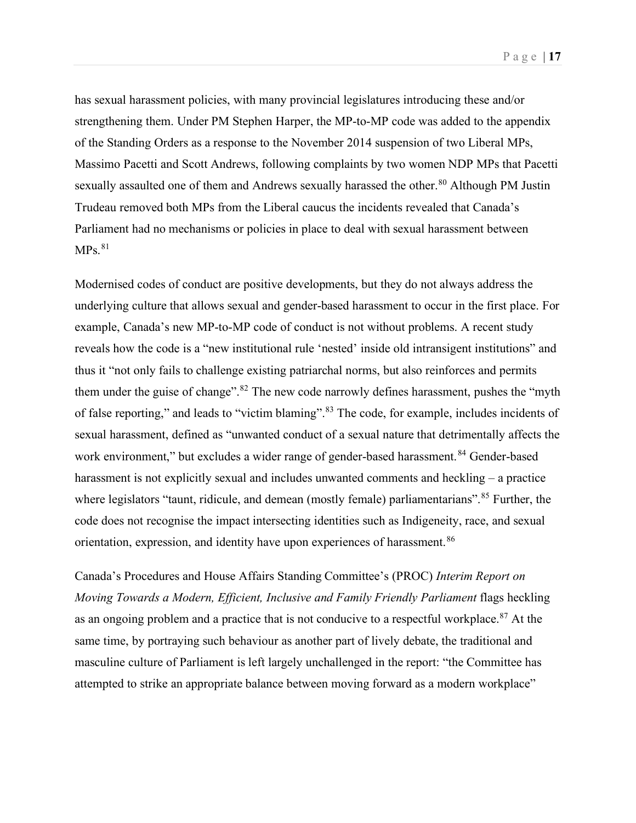has sexual harassment policies, with many provincial legislatures introducing these and/or strengthening them. Under PM Stephen Harper, the MP-to-MP code was added to the appendix of the Standing Orders as a response to the November 2014 suspension of two Liberal MPs, Massimo Pacetti and Scott Andrews, following complaints by two women NDP MPs that Pacetti sexually assaulted one of them and Andrews sexually harassed the other.<sup>[80](#page-38-1)</sup> Although PM Justin Trudeau removed both MPs from the Liberal caucus the incidents revealed that Canada's Parliament had no mechanisms or policies in place to deal with sexual harassment between  $MPs.<sup>81</sup>$  $MPs.<sup>81</sup>$  $MPs.<sup>81</sup>$ 

Modernised codes of conduct are positive developments, but they do not always address the underlying culture that allows sexual and gender-based harassment to occur in the first place. For example, Canada's new MP-to-MP code of conduct is not without problems. A recent study reveals how the code is a "new institutional rule 'nested' inside old intransigent institutions" and thus it "not only fails to challenge existing patriarchal norms, but also reinforces and permits them under the guise of change".<sup>[82](#page-38-3)</sup> The new code narrowly defines harassment, pushes the "myth of false reporting," and leads to "victim blaming".<sup>[83](#page-38-4)</sup> The code, for example, includes incidents of sexual harassment, defined as "unwanted conduct of a sexual nature that detrimentally affects the work environment," but excludes a wider range of gender-based harassment.<sup>[84](#page-38-5)</sup> Gender-based harassment is not explicitly sexual and includes unwanted comments and heckling – a practice where legislators "taunt, ridicule, and demean (mostly female) parliamentarians".<sup>[85](#page-38-6)</sup> Further, the code does not recognise the impact intersecting identities such as Indigeneity, race, and sexual orientation, expression, and identity have upon experiences of harassment.<sup>[86](#page-38-7)</sup>

Canada's Procedures and House Affairs Standing Committee's (PROC) *Interim Report on Moving Towards a Modern, Efficient, Inclusive and Family Friendly Parliament flags heckling* as an ongoing problem and a practice that is not conducive to a respectful workplace.<sup>[87](#page-38-8)</sup> At the same time, by portraying such behaviour as another part of lively debate, the traditional and masculine culture of Parliament is left largely unchallenged in the report: "the Committee has attempted to strike an appropriate balance between moving forward as a modern workplace"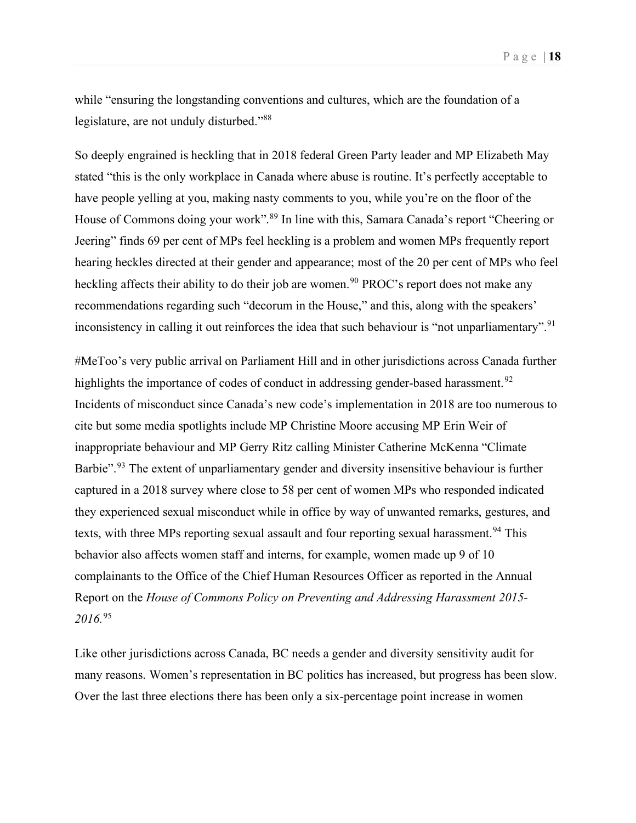Page | **18**

while "ensuring the longstanding conventions and cultures, which are the foundation of a legislature, are not unduly disturbed."[88](#page-38-9)

So deeply engrained is heckling that in 2018 federal Green Party leader and MP Elizabeth May stated "this is the only workplace in Canada where abuse is routine. It's perfectly acceptable to have people yelling at you, making nasty comments to you, while you're on the floor of the House of Commons doing your work".<sup>[89](#page-38-10)</sup> In line with this, Samara Canada's report "Cheering or Jeering" finds 69 per cent of MPs feel heckling is a problem and women MPs frequently report hearing heckles directed at their gender and appearance; most of the 20 per cent of MPs who feel heckling affects their ability to do their job are women.<sup>[90](#page-38-11)</sup> PROC's report does not make any recommendations regarding such "decorum in the House," and this, along with the speakers' inconsistency in calling it out reinforces the idea that such behaviour is "not unparliamentary".<sup>[91](#page-38-12)</sup>

#MeToo's very public arrival on Parliament Hill and in other jurisdictions across Canada further highlights the importance of codes of conduct in addressing gender-based harassment.<sup>[92](#page-38-13)</sup> Incidents of misconduct since Canada's new code's implementation in 2018 are too numerous to cite but some media spotlights include MP Christine Moore accusing MP Erin Weir of inappropriate behaviour and MP Gerry Ritz calling Minister Catherine McKenna "Climate Barbie".<sup>[93](#page-38-14)</sup> The extent of unparliamentary gender and diversity insensitive behaviour is further captured in a 2018 survey where close to 58 per cent of women MPs who responded indicated they experienced sexual misconduct while in office by way of unwanted remarks, gestures, and texts, with three MPs reporting sexual assault and four reporting sexual harassment.<sup>[94](#page-38-15)</sup> This behavior also affects women staff and interns, for example, women made up 9 of 10 complainants to the Office of the Chief Human Resources Officer as reported in the Annual Report on the *House of Commons Policy on Preventing and Addressing Harassment 2015- 2016.*[95](#page-38-16)

Like other jurisdictions across Canada, BC needs a gender and diversity sensitivity audit for many reasons. Women's representation in BC politics has increased, but progress has been slow. Over the last three elections there has been only a six-percentage point increase in women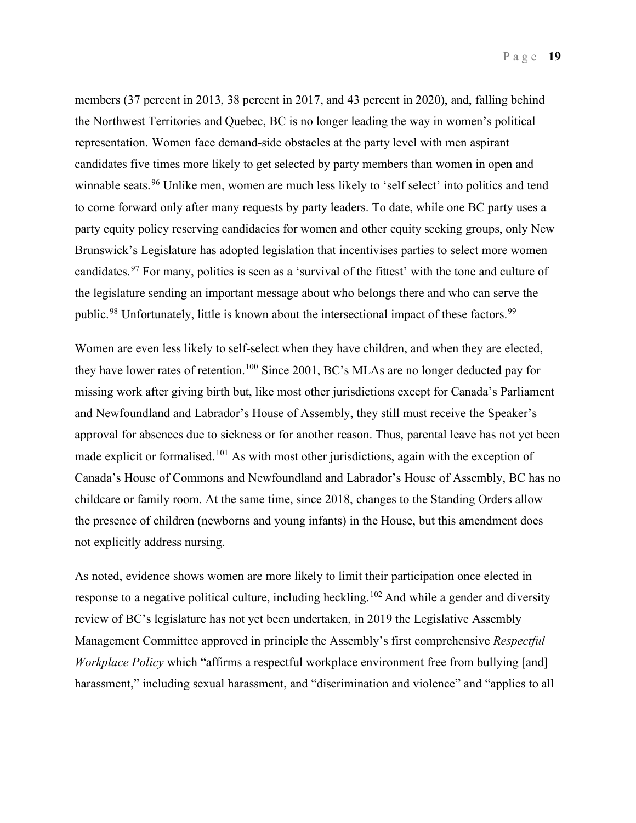members (37 percent in 2013, 38 percent in 2017, and 43 percent in 2020), and, falling behind the Northwest Territories and Quebec, BC is no longer leading the way in women's political representation. Women face demand-side obstacles at the party level with men aspirant candidates five times more likely to get selected by party members than women in open and winnable seats.<sup>[96](#page-38-17)</sup> Unlike men, women are much less likely to 'self select' into politics and tend to come forward only after many requests by party leaders. To date, while one BC party uses a party equity policy reserving candidacies for women and other equity seeking groups, only New Brunswick's Legislature has adopted legislation that incentivises parties to select more women candidates.[97](#page-38-18) For many, politics is seen as a 'survival of the fittest' with the tone and culture of the legislature sending an important message about who belongs there and who can serve the public.<sup>[98](#page-38-19)</sup> Unfortunately, little is known about the intersectional impact of these factors.<sup>[99](#page-38-20)</sup>

Women are even less likely to self-select when they have children, and when they are elected, they have lower rates of retention.<sup>[100](#page-38-21)</sup> Since 2001, BC's MLAs are no longer deducted pay for missing work after giving birth but, like most other jurisdictions except for Canada's Parliament and Newfoundland and Labrador's House of Assembly, they still must receive the Speaker's approval for absences due to sickness or for another reason. Thus, parental leave has not yet been made explicit or formalised.<sup>[101](#page-38-22)</sup> As with most other jurisdictions, again with the exception of Canada's House of Commons and Newfoundland and Labrador's House of Assembly, BC has no childcare or family room. At the same time, since 2018, changes to the Standing Orders allow the presence of children (newborns and young infants) in the House, but this amendment does not explicitly address nursing.

As noted, evidence shows women are more likely to limit their participation once elected in response to a negative political culture, including heckling.<sup>[102](#page-38-23)</sup> And while a gender and diversity review of BC's legislature has not yet been undertaken, in 2019 the Legislative Assembly Management Committee approved in principle the Assembly's first comprehensive *Respectful Workplace Policy* which "affirms a respectful workplace environment free from bullying [and] harassment," including sexual harassment, and "discrimination and violence" and "applies to all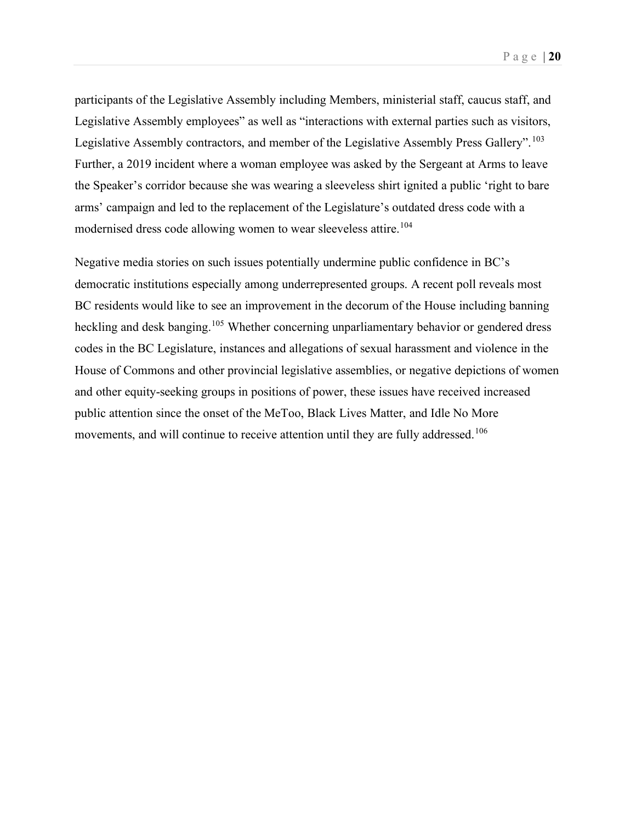participants of the Legislative Assembly including Members, ministerial staff, caucus staff, and Legislative Assembly employees" as well as "interactions with external parties such as visitors, Legislative Assembly contractors, and member of the Legislative Assembly Press Gallery". <sup>[103](#page-38-24)</sup> Further, a 2019 incident where a woman employee was asked by the Sergeant at Arms to leave the Speaker's corridor because she was wearing a sleeveless shirt ignited a public 'right to bare arms' campaign and led to the replacement of the Legislature's outdated dress code with a modernised dress code allowing women to wear sleeveless attire.<sup>[104](#page-38-25)</sup>

Negative media stories on such issues potentially undermine public confidence in BC's democratic institutions especially among underrepresented groups. A recent poll reveals most BC residents would like to see an improvement in the decorum of the House including banning heckling and desk banging.<sup>[105](#page-38-26)</sup> Whether concerning unparliamentary behavior or gendered dress codes in the BC Legislature, instances and allegations of sexual harassment and violence in the House of Commons and other provincial legislative assemblies, or negative depictions of women and other equity-seeking groups in positions of power, these issues have received increased public attention since the onset of the MeToo, Black Lives Matter, and Idle No More movements, and will continue to receive attention until they are fully addressed.<sup>[106](#page-38-27)</sup>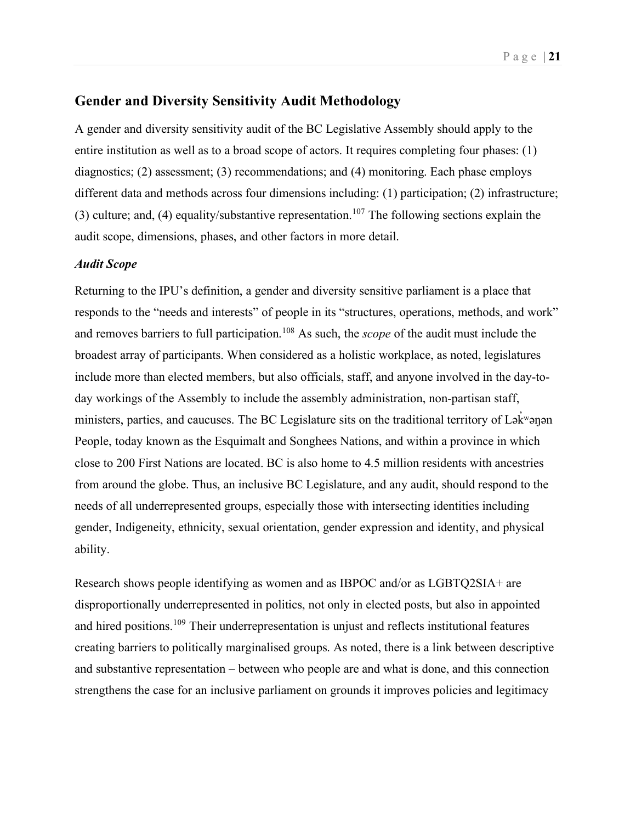## <span id="page-20-0"></span>**Gender and Diversity Sensitivity Audit Methodology**

A gender and diversity sensitivity audit of the BC Legislative Assembly should apply to the entire institution as well as to a broad scope of actors. It requires completing four phases: (1) diagnostics; (2) assessment; (3) recommendations; and (4) monitoring. Each phase employs different data and methods across four dimensions including: (1) participation; (2) infrastructure; (3) culture; and, (4) equality/substantive representation.<sup>[107](#page-38-28)</sup> The following sections explain the audit scope, dimensions, phases, and other factors in more detail.

#### <span id="page-20-1"></span>*Audit Scope*

Returning to the IPU's definition, a gender and diversity sensitive parliament is a place that responds to the "needs and interests" of people in its "structures, operations, methods, and work" and removes barriers to full participation. [108](#page-38-29) As such, the *scope* of the audit must include the broadest array of participants. When considered as a holistic workplace, as noted, legislatures include more than elected members, but also officials, staff, and anyone involved in the day-today workings of the Assembly to include the assembly administration, non-partisan staff, ministers, parties, and caucuses. The BC Legislature sits on the traditional territory of Lək̓ ʷəŋən People, today known as the Esquimalt and Songhees Nations, and within a province in which close to 200 First Nations are located. BC is also home to 4.5 million residents with ancestries from around the globe. Thus, an inclusive BC Legislature, and any audit, should respond to the needs of all underrepresented groups, especially those with intersecting identities including gender, Indigeneity, ethnicity, sexual orientation, gender expression and identity, and physical ability.

Research shows people identifying as women and as IBPOC and/or as LGBTQ2SIA+ are disproportionally underrepresented in politics, not only in elected posts, but also in appointed and hired positions.<sup>[109](#page-38-30)</sup> Their underrepresentation is unjust and reflects institutional features creating barriers to politically marginalised groups. As noted, there is a link between descriptive and substantive representation – between who people are and what is done, and this connection strengthens the case for an inclusive parliament on grounds it improves policies and legitimacy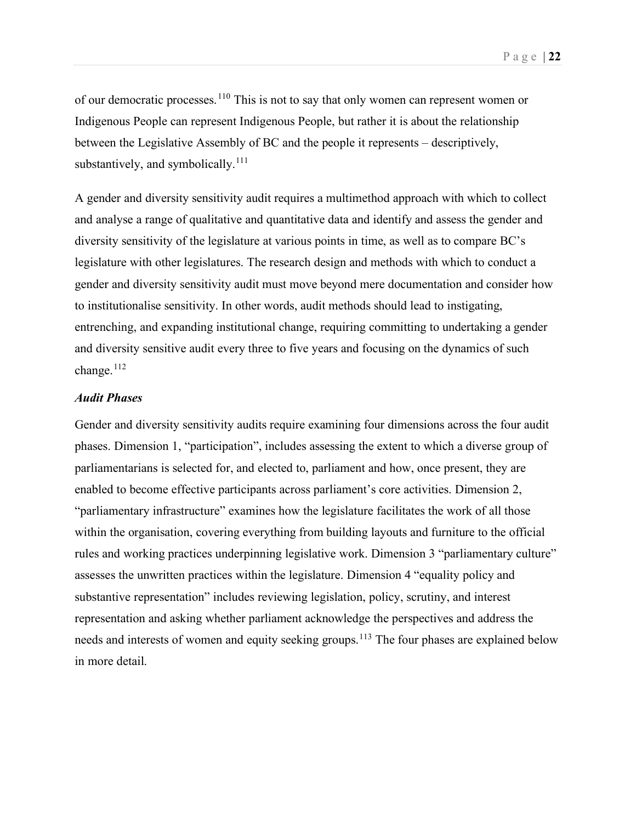of our democratic processes.[110](#page-38-31) This is not to say that only women can represent women or Indigenous People can represent Indigenous People, but rather it is about the relationship between the Legislative Assembly of BC and the people it represents – descriptively, substantively, and symbolically. $111$ 

A gender and diversity sensitivity audit requires a multimethod approach with which to collect and analyse a range of qualitative and quantitative data and identify and assess the gender and diversity sensitivity of the legislature at various points in time, as well as to compare BC's legislature with other legislatures. The research design and methods with which to conduct a gender and diversity sensitivity audit must move beyond mere documentation and consider how to institutionalise sensitivity. In other words, audit methods should lead to instigating, entrenching, and expanding institutional change, requiring committing to undertaking a gender and diversity sensitive audit every three to five years and focusing on the dynamics of such change.<sup>[112](#page-38-33)</sup>

#### <span id="page-21-0"></span>*Audit Phases*

Gender and diversity sensitivity audits require examining four dimensions across the four audit phases. Dimension 1, "participation", includes assessing the extent to which a diverse group of parliamentarians is selected for, and elected to, parliament and how, once present, they are enabled to become effective participants across parliament's core activities. Dimension 2, "parliamentary infrastructure" examines how the legislature facilitates the work of all those within the organisation, covering everything from building layouts and furniture to the official rules and working practices underpinning legislative work. Dimension 3 "parliamentary culture" assesses the unwritten practices within the legislature. Dimension 4 "equality policy and substantive representation" includes reviewing legislation, policy, scrutiny, and interest representation and asking whether parliament acknowledge the perspectives and address the needs and interests of women and equity seeking groups.<sup>[113](#page-38-34)</sup> The four phases are explained below in more detail.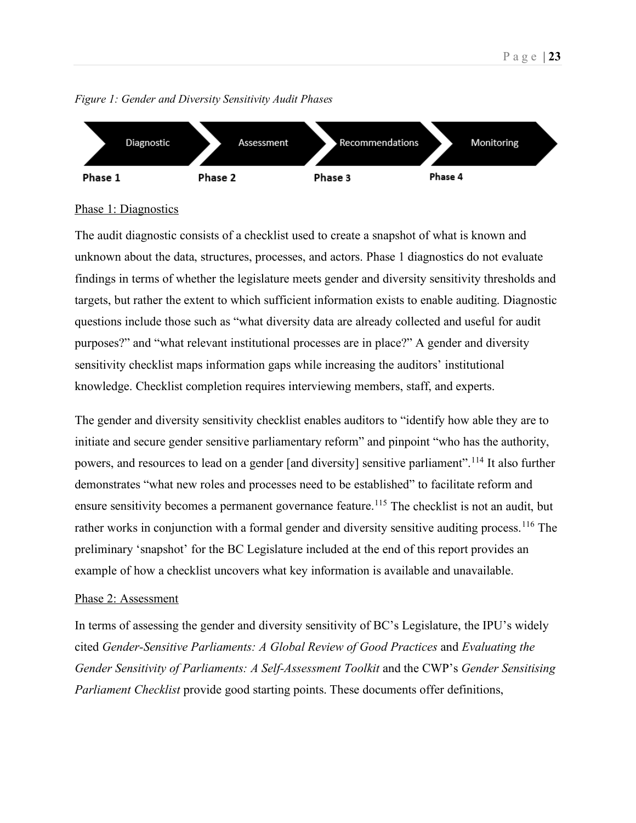

*Figure 1: Gender and Diversity Sensitivity Audit Phases*

## Phase 1: Diagnostics

The audit diagnostic consists of a checklist used to create a snapshot of what is known and unknown about the data, structures, processes, and actors. Phase 1 diagnostics do not evaluate findings in terms of whether the legislature meets gender and diversity sensitivity thresholds and targets, but rather the extent to which sufficient information exists to enable auditing. Diagnostic questions include those such as "what diversity data are already collected and useful for audit purposes?" and "what relevant institutional processes are in place?" A gender and diversity sensitivity checklist maps information gaps while increasing the auditors' institutional knowledge. Checklist completion requires interviewing members, staff, and experts.

The gender and diversity sensitivity checklist enables auditors to "identify how able they are to initiate and secure gender sensitive parliamentary reform" and pinpoint "who has the authority, powers, and resources to lead on a gender [and diversity] sensitive parliament".<sup>[114](#page-38-35)</sup> It also further demonstrates "what new roles and processes need to be established" to facilitate reform and ensure sensitivity becomes a permanent governance feature.<sup>[115](#page-38-36)</sup> The checklist is not an audit, but rather works in conjunction with a formal gender and diversity sensitive auditing process.<sup>[116](#page-38-37)</sup> The preliminary 'snapshot' for the BC Legislature included at the end of this report provides an example of how a checklist uncovers what key information is available and unavailable.

## Phase 2: Assessment

In terms of assessing the gender and diversity sensitivity of BC's Legislature, the IPU's widely cited *Gender-Sensitive Parliaments: A Global Review of Good Practices* and *Evaluating the Gender Sensitivity of Parliaments: A Self-Assessment Toolkit* and the CWP's *Gender Sensitising Parliament Checklist* provide good starting points. These documents offer definitions,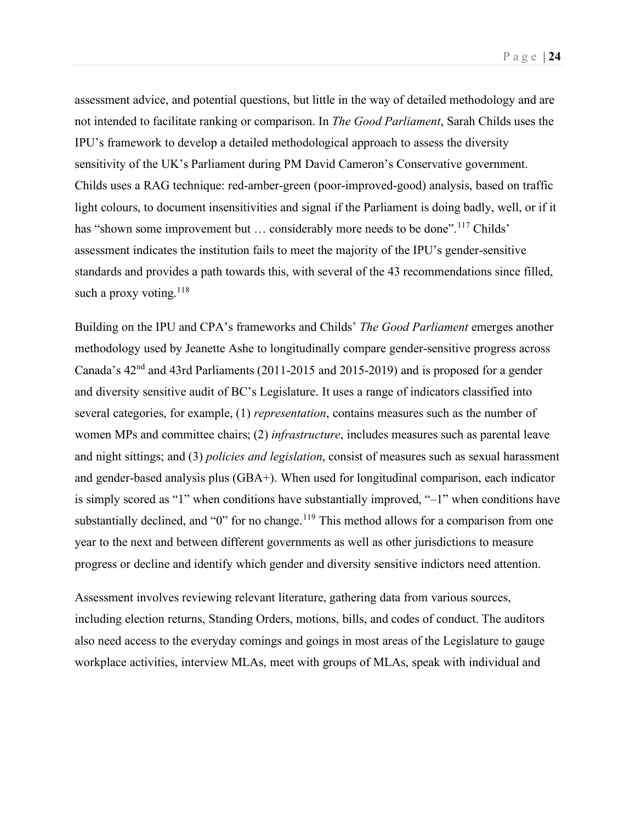assessment advice, and potential questions, but little in the way of detailed methodology and are not intended to facilitate ranking or comparison. In *The Good Parliament*, Sarah Childs uses the IPU's framework to develop a detailed methodological approach to assess the diversity sensitivity of the UK's Parliament during PM David Cameron's Conservative government. Childs uses a RAG technique: red-amber-green (poor-improved-good) analysis, based on traffic light colours, to document insensitivities and signal if the Parliament is doing badly, well, or if it has "shown some improvement but ... considerably more needs to be done".<sup>[117](#page-38-38)</sup> Childs' assessment indicates the institution fails to meet the majority of the IPU's gender-sensitive standards and provides a path towards this, with several of the 43 recommendations since filled, such a proxy voting.  $118$ 

Building on the IPU and CPA's frameworks and Childs' *The Good Parliament* emerges another methodology used by Jeanette Ashe to longitudinally compare gender-sensitive progress across Canada's 42nd and 43rd Parliaments (2011-2015 and 2015-2019) and is proposed for a gender and diversity sensitive audit of BC's Legislature. It uses a range of indicators classified into several categories, for example, (1) *representation*, contains measures such as the number of women MPs and committee chairs; (2) *infrastructure*, includes measures such as parental leave and night sittings; and (3) *policies and legislation*, consist of measures such as sexual harassment and gender-based analysis plus (GBA+). When used for longitudinal comparison, each indicator is simply scored as "1" when conditions have substantially improved, "–1" when conditions have substantially declined, and "0" for no change.<sup>[119](#page-38-40)</sup> This method allows for a comparison from one year to the next and between different governments as well as other jurisdictions to measure progress or decline and identify which gender and diversity sensitive indictors need attention.

Assessment involves reviewing relevant literature, gathering data from various sources, including election returns, Standing Orders, motions, bills, and codes of conduct. The auditors also need access to the everyday comings and goings in most areas of the Legislature to gauge workplace activities, interview MLAs, meet with groups of MLAs, speak with individual and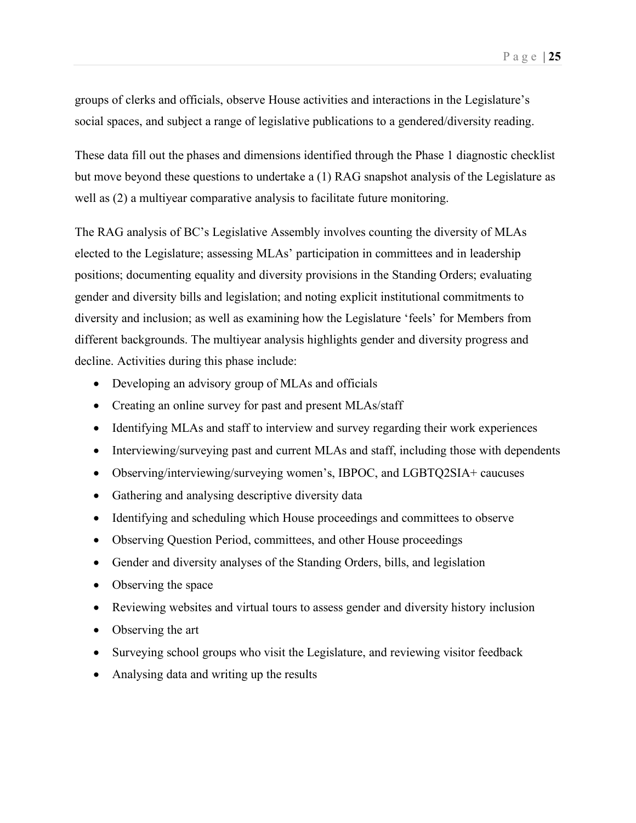groups of clerks and officials, observe House activities and interactions in the Legislature's social spaces, and subject a range of legislative publications to a gendered/diversity reading.

These data fill out the phases and dimensions identified through the Phase 1 diagnostic checklist but move beyond these questions to undertake a (1) RAG snapshot analysis of the Legislature as well as (2) a multiyear comparative analysis to facilitate future monitoring.

The RAG analysis of BC's Legislative Assembly involves counting the diversity of MLAs elected to the Legislature; assessing MLAs' participation in committees and in leadership positions; documenting equality and diversity provisions in the Standing Orders; evaluating gender and diversity bills and legislation; and noting explicit institutional commitments to diversity and inclusion; as well as examining how the Legislature 'feels' for Members from different backgrounds. The multiyear analysis highlights gender and diversity progress and decline. Activities during this phase include:

- Developing an advisory group of MLAs and officials
- Creating an online survey for past and present MLAs/staff
- Identifying MLAs and staff to interview and survey regarding their work experiences
- Interviewing/surveying past and current MLAs and staff, including those with dependents
- Observing/interviewing/surveying women's, IBPOC, and LGBTQ2SIA+ caucuses
- Gathering and analysing descriptive diversity data
- Identifying and scheduling which House proceedings and committees to observe
- Observing Question Period, committees, and other House proceedings
- Gender and diversity analyses of the Standing Orders, bills, and legislation
- Observing the space
- Reviewing websites and virtual tours to assess gender and diversity history inclusion
- Observing the art
- Surveying school groups who visit the Legislature, and reviewing visitor feedback
- Analysing data and writing up the results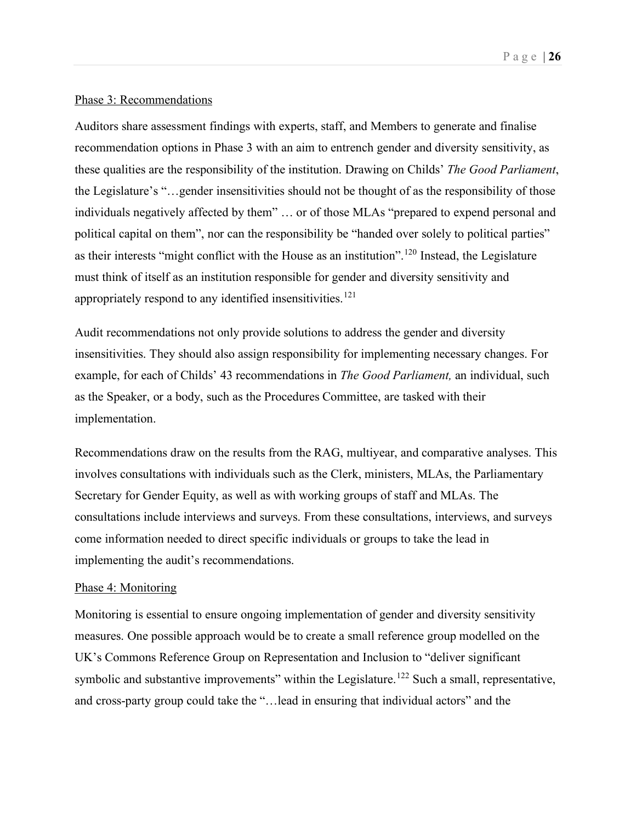#### Phase 3: Recommendations

Auditors share assessment findings with experts, staff, and Members to generate and finalise recommendation options in Phase 3 with an aim to entrench gender and diversity sensitivity, as these qualities are the responsibility of the institution. Drawing on Childs' *The Good Parliament*, the Legislature's "…gender insensitivities should not be thought of as the responsibility of those individuals negatively affected by them" … or of those MLAs "prepared to expend personal and political capital on them", nor can the responsibility be "handed over solely to political parties" as their interests "might conflict with the House as an institution".<sup>[120](#page-38-41)</sup> Instead, the Legislature must think of itself as an institution responsible for gender and diversity sensitivity and appropriately respond to any identified insensitivities.<sup>[121](#page-38-42)</sup>

Audit recommendations not only provide solutions to address the gender and diversity insensitivities. They should also assign responsibility for implementing necessary changes. For example, for each of Childs' 43 recommendations in *The Good Parliament,* an individual, such as the Speaker, or a body, such as the Procedures Committee, are tasked with their implementation.

Recommendations draw on the results from the RAG, multiyear, and comparative analyses. This involves consultations with individuals such as the Clerk, ministers, MLAs, the Parliamentary Secretary for Gender Equity, as well as with working groups of staff and MLAs. The consultations include interviews and surveys. From these consultations, interviews, and surveys come information needed to direct specific individuals or groups to take the lead in implementing the audit's recommendations.

#### Phase 4: Monitoring

Monitoring is essential to ensure ongoing implementation of gender and diversity sensitivity measures. One possible approach would be to create a small reference group modelled on the UK's Commons Reference Group on Representation and Inclusion to "deliver significant symbolic and substantive improvements" within the Legislature.<sup>[122](#page-38-43)</sup> Such a small, representative, and cross-party group could take the "…lead in ensuring that individual actors" and the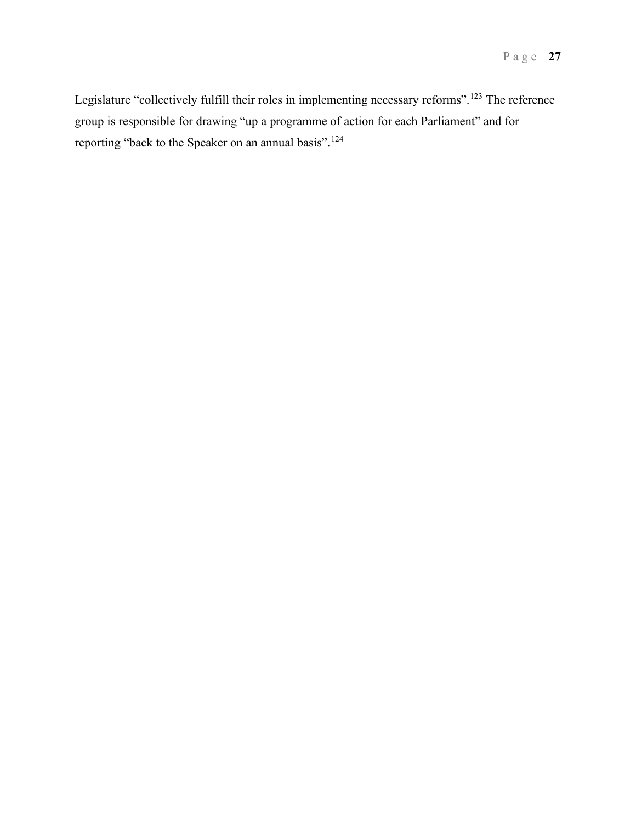Legislature "collectively fulfill their roles in implementing necessary reforms".<sup>[123](#page-38-44)</sup> The reference group is responsible for drawing "up a programme of action for each Parliament" and for reporting "back to the Speaker on an annual basis".<sup>[124](#page-38-45)</sup>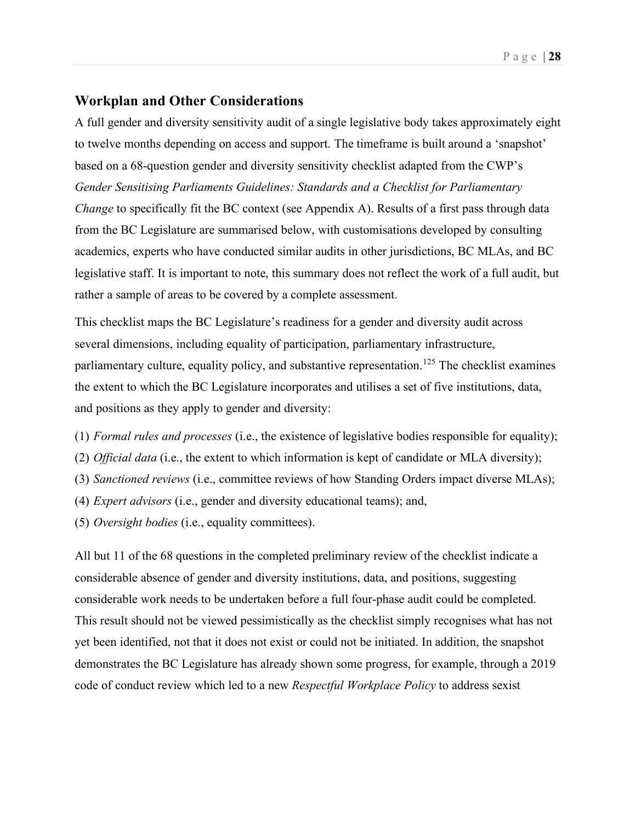## <span id="page-27-0"></span>**Workplan and Other Considerations**

A full gender and diversity sensitivity audit of a single legislative body takes approximately eight to twelve months depending on access and support. The timeframe is built around a 'snapshot' based on a 68-question gender and diversity sensitivity checklist adapted from the CWP's *Gender Sensitising Parliaments Guidelines: Standards and a Checklist for Parliamentary Change* to specifically fit the BC context (see Appendix A). Results of a first pass through data from the BC Legislature are summarised below, with customisations developed by consulting academics, experts who have conducted similar audits in other jurisdictions, BC MLAs, and BC legislative staff. It is important to note, this summary does not reflect the work of a full audit, but rather a sample of areas to be covered by a complete assessment.

This checklist maps the BC Legislature's readiness for a gender and diversity audit across several dimensions, including equality of participation, parliamentary infrastructure, parliamentary culture, equality policy, and substantive representation.<sup>[125](#page-38-46)</sup> The checklist examines the extent to which the BC Legislature incorporates and utilises a set of five institutions, data, and positions as they apply to gender and diversity:

- (1) *Formal rules and processes* (i.e., the existence of legislative bodies responsible for equality);
- (2) *Official data* (i.e., the extent to which information is kept of candidate or MLA diversity);
- (3) *Sanctioned reviews* (i.e., committee reviews of how Standing Orders impact diverse MLAs);
- (4) *Expert advisors* (i.e., gender and diversity educational teams); and,
- (5) *Oversight bodies* (i.e., equality committees).

All but 11 of the 68 questions in the completed preliminary review of the checklist indicate a considerable absence of gender and diversity institutions, data, and positions, suggesting considerable work needs to be undertaken before a full four-phase audit could be completed. This result should not be viewed pessimistically as the checklist simply recognises what has not yet been identified, not that it does not exist or could not be initiated. In addition, the snapshot demonstrates the BC Legislature has already shown some progress, for example, through a 2019 code of conduct review which led to a new *Respectful Workplace Policy* to address sexist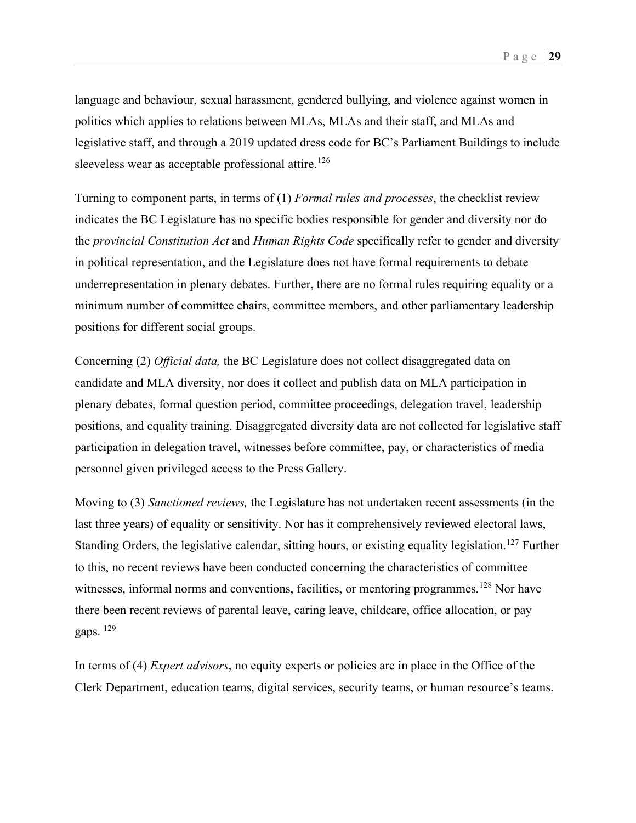language and behaviour, sexual harassment, gendered bullying, and violence against women in politics which applies to relations between MLAs, MLAs and their staff, and MLAs and legislative staff, and through a 2019 updated dress code for BC's Parliament Buildings to include sleeveless wear as acceptable professional attire.<sup>[126](#page-38-47)</sup>

Turning to component parts, in terms of (1) *Formal rules and processes*, the checklist review indicates the BC Legislature has no specific bodies responsible for gender and diversity nor do the *provincial Constitution Act* and *Human Rights Code* specifically refer to gender and diversity in political representation, and the Legislature does not have formal requirements to debate underrepresentation in plenary debates. Further, there are no formal rules requiring equality or a minimum number of committee chairs, committee members, and other parliamentary leadership positions for different social groups.

Concerning (2) *Official data,* the BC Legislature does not collect disaggregated data on candidate and MLA diversity, nor does it collect and publish data on MLA participation in plenary debates, formal question period, committee proceedings, delegation travel, leadership positions, and equality training. Disaggregated diversity data are not collected for legislative staff participation in delegation travel, witnesses before committee, pay, or characteristics of media personnel given privileged access to the Press Gallery.

Moving to (3) *Sanctioned reviews,* the Legislature has not undertaken recent assessments (in the last three years) of equality or sensitivity. Nor has it comprehensively reviewed electoral laws, Standing Orders, the legislative calendar, sitting hours, or existing equality legislation.<sup>[127](#page-38-0)</sup> Further to this, no recent reviews have been conducted concerning the characteristics of committee witnesses, informal norms and conventions, facilities, or mentoring programmes.<sup>[128](#page-38-48)</sup> Nor have there been recent reviews of parental leave, caring leave, childcare, office allocation, or pay gaps. [129](#page-38-49)

In terms of (4) *Expert advisors*, no equity experts or policies are in place in the Office of the Clerk Department, education teams, digital services, security teams, or human resource's teams.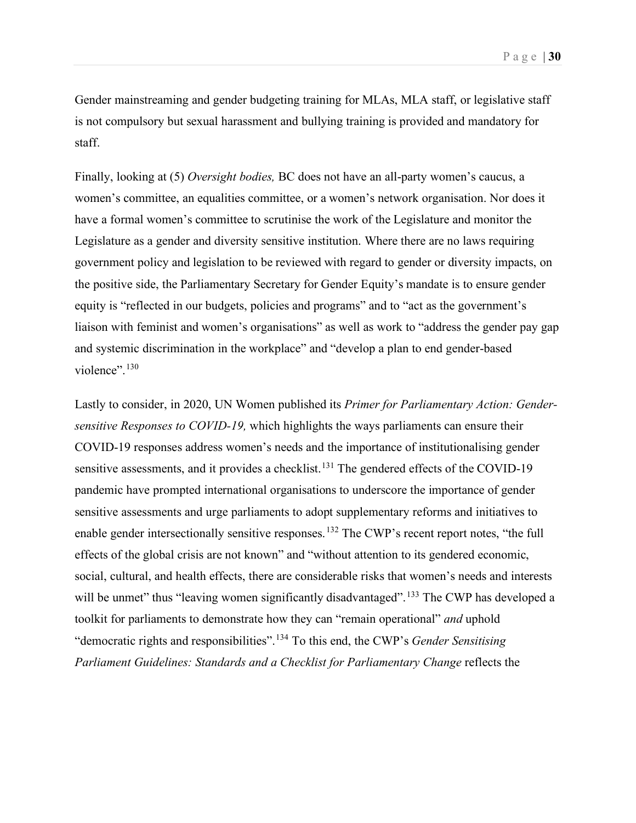Gender mainstreaming and gender budgeting training for MLAs, MLA staff, or legislative staff is not compulsory but sexual harassment and bullying training is provided and mandatory for staff.

Finally, looking at (5) *Oversight bodies,* BC does not have an all-party women's caucus, a women's committee, an equalities committee, or a women's network organisation. Nor does it have a formal women's committee to scrutinise the work of the Legislature and monitor the Legislature as a gender and diversity sensitive institution. Where there are no laws requiring government policy and legislation to be reviewed with regard to gender or diversity impacts, on the positive side, the Parliamentary Secretary for Gender Equity's mandate is to ensure gender equity is "reflected in our budgets, policies and programs" and to "act as the government's liaison with feminist and women's organisations" as well as work to "address the gender pay gap and systemic discrimination in the workplace" and "develop a plan to end gender-based violence".<sup>130</sup>

Lastly to consider, in 2020, UN Women published its *Primer for Parliamentary Action: Gendersensitive Responses to COVID-19,* which highlights the ways parliaments can ensure their COVID-19 responses address women's needs and the importance of institutionalising gender sensitive assessments, and it provides a checklist.<sup>[131](#page-38-51)</sup> The gendered effects of the COVID-19 pandemic have prompted international organisations to underscore the importance of gender sensitive assessments and urge parliaments to adopt supplementary reforms and initiatives to enable gender intersectionally sensitive responses.<sup>[132](#page-38-52)</sup> The CWP's recent report notes, "the full effects of the global crisis are not known" and "without attention to its gendered economic, social, cultural, and health effects, there are considerable risks that women's needs and interests will be unmet" thus "leaving women significantly disadvantaged".<sup>[133](#page-38-53)</sup> The CWP has developed a toolkit for parliaments to demonstrate how they can "remain operational" *and* uphold "democratic rights and responsibilities".[134](#page-38-54) To this end, the CWP's *Gender Sensitising Parliament Guidelines: Standards and a Checklist for Parliamentary Change reflects the*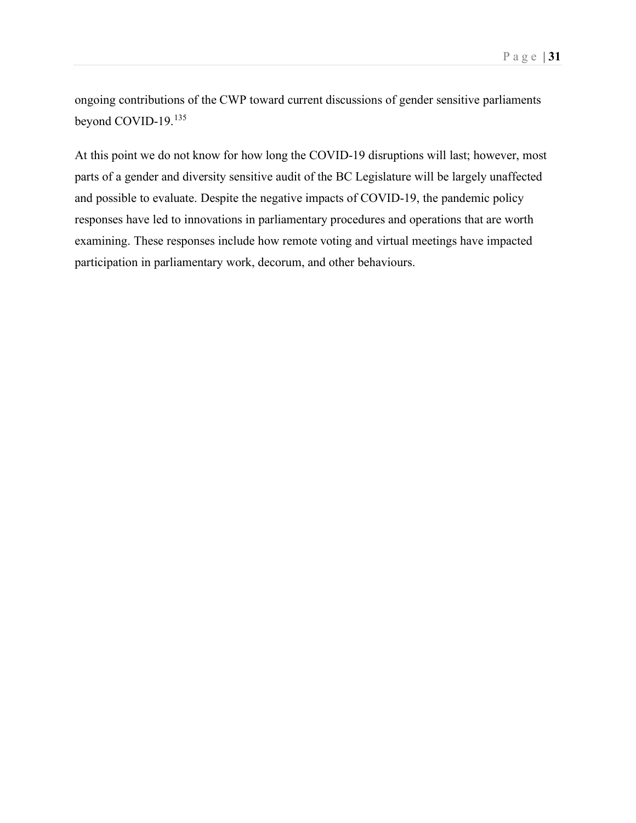ongoing contributions of the CWP toward current discussions of gender sensitive parliaments beyond COVID-19.[135](#page-38-55)

At this point we do not know for how long the COVID-19 disruptions will last; however, most parts of a gender and diversity sensitive audit of the BC Legislature will be largely unaffected and possible to evaluate. Despite the negative impacts of COVID-19, the pandemic policy responses have led to innovations in parliamentary procedures and operations that are worth examining. These responses include how remote voting and virtual meetings have impacted participation in parliamentary work, decorum, and other behaviours.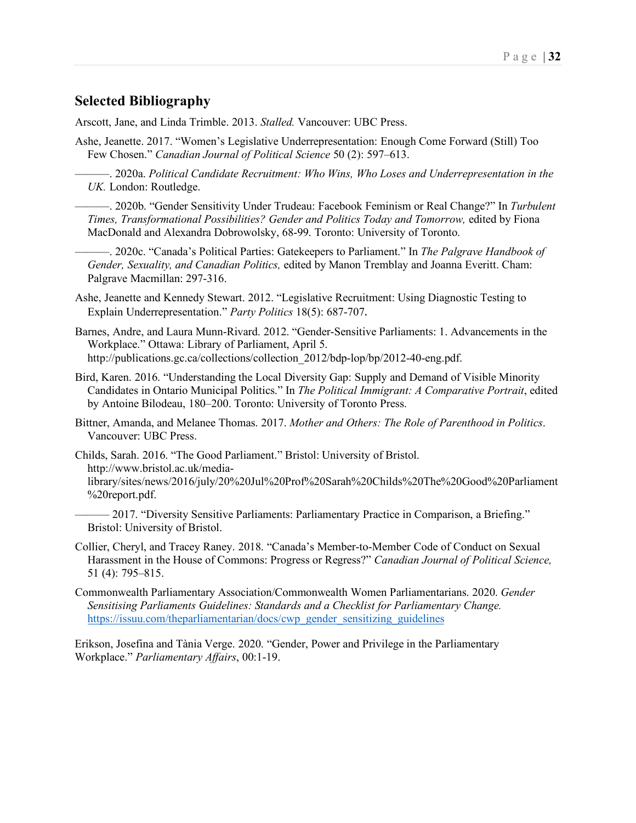## <span id="page-31-0"></span>**Selected Bibliography**

Arscott, Jane, and Linda Trimble. 2013. *Stalled.* Vancouver: UBC Press.

- Ashe, Jeanette. 2017. "Women's Legislative Underrepresentation: Enough Come Forward (Still) Too Few Chosen." *Canadian Journal of Political Science* 50 (2): 597–613.
	- ———. 2020a. *Political Candidate Recruitment: Who Wins, Who Loses and Underrepresentation in the UK.* London: Routledge.
	- ———. 2020b. "Gender Sensitivity Under Trudeau: Facebook Feminism or Real Change?" In *Turbulent Times, Transformational Possibilities? Gender and Politics Today and Tomorrow,* edited by Fiona MacDonald and Alexandra Dobrowolsky, 68-99. Toronto: University of Toronto.
	- ———. 2020c. "Canada's Political Parties: Gatekeepers to Parliament." In *The Palgrave Handbook of Gender, Sexuality, and Canadian Politics,* edited by Manon Tremblay and Joanna Everitt. Cham: Palgrave Macmillan: 297-316.
- Ashe, Jeanette and Kennedy Stewart. 2012. "Legislative Recruitment: Using Diagnostic Testing to Explain Underrepresentation." *Party Politics* 18(5): 687-707.
- Barnes, Andre, and Laura Munn-Rivard. 2012. "Gender-Sensitive Parliaments: 1. Advancements in the Workplace." Ottawa: Library of Parliament, April 5. http://publications.gc.ca/collections/collection\_2012/bdp-lop/bp/2012-40-eng.pdf.
- Bird, Karen. 2016. "Understanding the Local Diversity Gap: Supply and Demand of Visible Minority Candidates in Ontario Municipal Politics." In *The Political Immigrant: A Comparative Portrait*, edited by Antoine Bilodeau, 180–200. Toronto: University of Toronto Press.
- Bittner, Amanda, and Melanee Thomas. 2017. *Mother and Others: The Role of Parenthood in Politics*. Vancouver: UBC Press.
- Childs, Sarah. 2016. "The Good Parliament." Bristol: University of Bristol. http://www.bristol.ac.uk/medialibrary/sites/news/2016/july/20%20Jul%20Prof%20Sarah%20Childs%20The%20Good%20Parliament %20report.pdf.
	- 2017. "Diversity Sensitive Parliaments: Parliamentary Practice in Comparison, a Briefing." Bristol: University of Bristol.
- Collier, Cheryl, and Tracey Raney. 2018. "Canada's Member-to-Member Code of Conduct on Sexual Harassment in the House of Commons: Progress or Regress?" *Canadian Journal of Political Science,* 51 (4): 795–815.
- Commonwealth Parliamentary Association/Commonwealth Women Parliamentarians. 2020. *Gender Sensitising Parliaments Guidelines: Standards and a Checklist for Parliamentary Change.* [https://issuu.com/theparliamentarian/docs/cwp\\_gender\\_sensitizing\\_guidelines](https://issuu.com/theparliamentarian/docs/cwp_gender_sensitizing_guidelines)

Erikson, Josefina and Tània Verge. 2020. "Gender, Power and Privilege in the Parliamentary Workplace." *Parliamentary Affairs*, 00:1-19.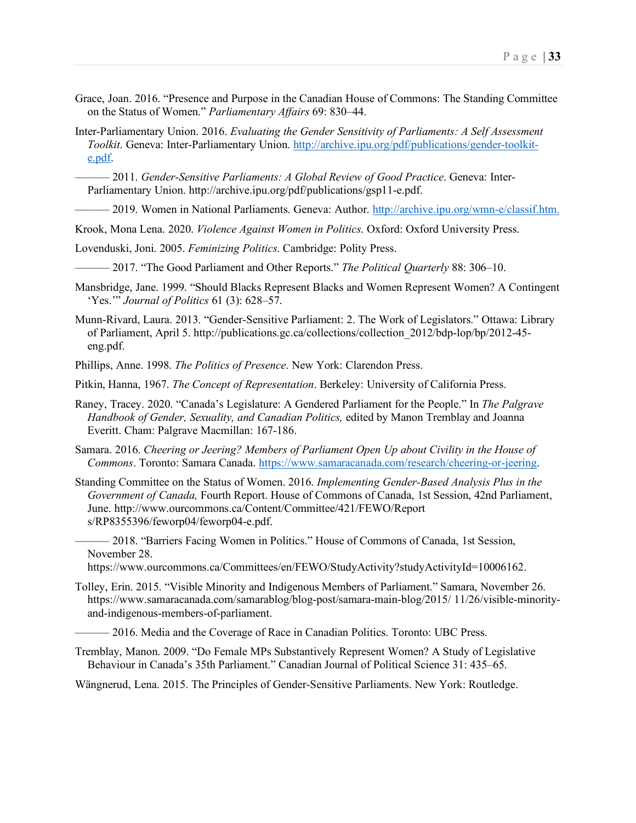- Grace, Joan. 2016. "Presence and Purpose in the Canadian House of Commons: The Standing Committee on the Status of Women." *Parliamentary Affairs* 69: 830–44.
- Inter-Parliamentary Union. 2016. *Evaluating the Gender Sensitivity of Parliaments: A Self Assessment Toolkit*. Geneva: Inter-Parliamentary Union. [http://archive.ipu.org/pdf/publications/gender-toolkit](http://archive.ipu.org/pdf/publications/gender-toolkit-e.pdf)[e.pdf.](http://archive.ipu.org/pdf/publications/gender-toolkit-e.pdf)
	- ——— 2011. *Gender-Sensitive Parliaments: A Global Review of Good Practice*. Geneva: Inter-Parliamentary Union. http://archive.ipu.org/pdf/publications/gsp11-e.pdf.
- 2019. Women in National Parliaments. Geneva: Author. [http://archive.ipu.org/wmn-e/classif.htm.](http://archive.ipu.org/wmn-e/classif.htm)
- Krook, Mona Lena. 2020. *Violence Against Women in Politics*. Oxford: Oxford University Press.
- Lovenduski, Joni. 2005. *Feminizing Politics*. Cambridge: Polity Press.
	- ——— 2017. "The Good Parliament and Other Reports." *The Political Quarterly* 88: 306–10.
- Mansbridge, Jane. 1999. "Should Blacks Represent Blacks and Women Represent Women? A Contingent 'Yes.'" *Journal of Politics* 61 (3): 628–57.
- Munn-Rivard, Laura. 2013. "Gender-Sensitive Parliament: 2. The Work of Legislators." Ottawa: Library of Parliament, April 5. http://publications.gc.ca/collections/collection\_2012/bdp-lop/bp/2012-45 eng.pdf.
- Phillips, Anne. 1998. *The Politics of Presence*. New York: Clarendon Press.
- Pitkin, Hanna, 1967. *The Concept of Representation*. Berkeley: University of California Press.
- Raney, Tracey. 2020. "Canada's Legislature: A Gendered Parliament for the People." In *The Palgrave Handbook of Gender, Sexuality, and Canadian Politics,* edited by Manon Tremblay and Joanna Everitt. Cham: Palgrave Macmillan: 167-186.
- Samara. 2016. *Cheering or Jeering? Members of Parliament Open Up about Civility in the House of Commons*. Toronto: Samara Canada. [https://www.samaracanada.com/research/cheering-or-jeering.](https://www.samaracanada.com/research/cheering-or-jeering)
- Standing Committee on the Status of Women. 2016. *Implementing Gender-Based Analysis Plus in the Government of Canada,* Fourth Report. House of Commons of Canada, 1st Session, 42nd Parliament, June. http://www.ourcommons.ca/Content/Committee/421/FEWO/Report s/RP8355396/feworp04/feworp04-e.pdf.
	- ——— 2018. "Barriers Facing Women in Politics." House of Commons of Canada, 1st Session, November 28.
	- [https://www.ourcommons.ca/Committees/en/FEWO/StudyActivity?studyActivityId=10006162.](https://www.ourcommons.ca/Committees/en/FEWO/StudyActivity?studyActivityId=10006162)
- Tolley, Erin. 2015. "Visible Minority and Indigenous Members of Parliament." Samara, November 26. https://www.samaracanada.com/samarablog/blog-post/samara-main-blog/2015/ 11/26/visible-minorityand-indigenous-members-of-parliament.
	- 2016. Media and the Coverage of Race in Canadian Politics. Toronto: UBC Press.
- Tremblay, Manon. 2009. "Do Female MPs Substantively Represent Women? A Study of Legislative Behaviour in Canada's 35th Parliament." Canadian Journal of Political Science 31: 435–65.

Wängnerud, Lena. 2015. The Principles of Gender-Sensitive Parliaments. New York: Routledge.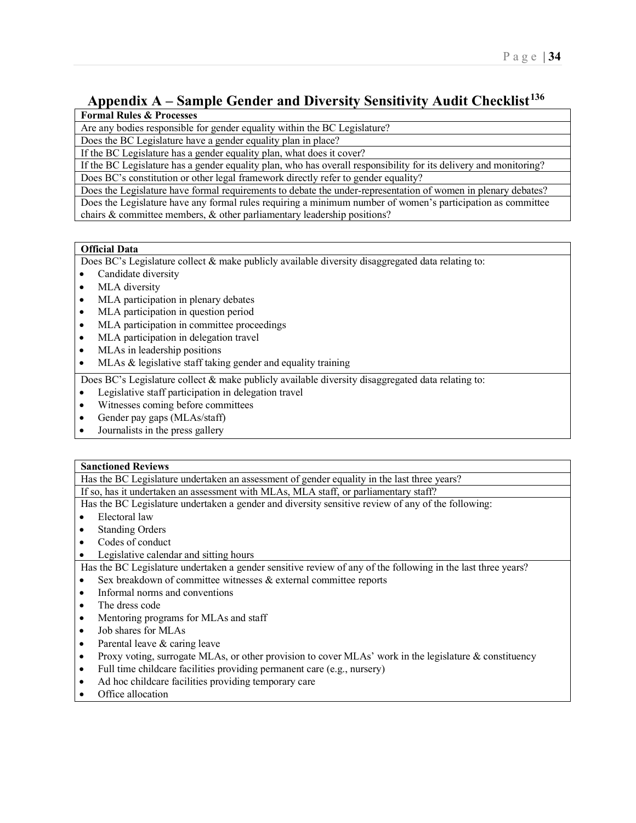## <span id="page-33-0"></span>**Appendix A – Sample Gender and Diversity Sensitivity Audit Checklist[136](#page-38-56)**

## **Formal Rules & Processes**

Are any bodies responsible for gender equality within the BC Legislature?

Does the BC Legislature have a gender equality plan in place?

If the BC Legislature has a gender equality plan, what does it cover?

If the BC Legislature has a gender equality plan, who has overall responsibility for its delivery and monitoring? Does BC's constitution or other legal framework directly refer to gender equality?

Does the Legislature have formal requirements to debate the under-representation of women in plenary debates?

Does the Legislature have any formal rules requiring a minimum number of women's participation as committee chairs & committee members, & other parliamentary leadership positions?

#### **Official Data**

Does BC's Legislature collect & make publicly available diversity disaggregated data relating to:

- Candidate diversity
- MLA diversity
- MLA participation in plenary debates
- MLA participation in question period
- MLA participation in committee proceedings
- MLA participation in delegation travel
- MLAs in leadership positions
- MLAs & legislative staff taking gender and equality training

Does BC's Legislature collect & make publicly available diversity disaggregated data relating to:

- Legislative staff participation in delegation travel
- Witnesses coming before committees
- Gender pay gaps (MLAs/staff)
- Journalists in the press gallery

#### **Sanctioned Reviews**

Has the BC Legislature undertaken an assessment of gender equality in the last three years?

If so, has it undertaken an assessment with MLAs, MLA staff, or parliamentary staff?

Has the BC Legislature undertaken a gender and diversity sensitive review of any of the following:

- Electoral law
- **Standing Orders**
- Codes of conduct
- Legislative calendar and sitting hours

Has the BC Legislature undertaken a gender sensitive review of any of the following in the last three years? • Sex breakdown of committee witnesses & external committee reports

- Informal norms and conventions
- The dress code
- Mentoring programs for MLAs and staff
- Job shares for MLAs
- Parental leave & caring leave
- Proxy voting, surrogate MLAs, or other provision to cover MLAs' work in the legislature & constituency
- Full time childcare facilities providing permanent care (e.g., nursery)
- Ad hoc childcare facilities providing temporary care
- Office allocation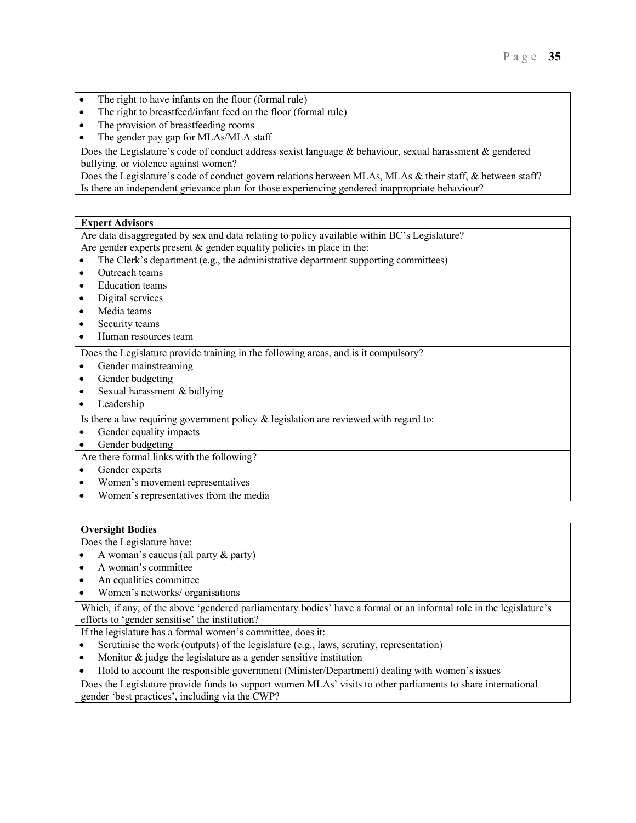- The right to have infants on the floor (formal rule)
- The right to breastfeed/infant feed on the floor (formal rule)
- The provision of breastfeeding rooms
- The gender pay gap for MLAs/MLA staff

Does the Legislature's code of conduct address sexist language & behaviour, sexual harassment & gendered bullying, or violence against women?

Does the Legislature's code of conduct govern relations between MLAs, MLAs & their staff, & between staff? Is there an independent grievance plan for those experiencing gendered inappropriate behaviour?

#### **Expert Advisors**

Are data disaggregated by sex and data relating to policy available within BC's Legislature?

Are gender experts present & gender equality policies in place in the:

- The Clerk's department (e.g., the administrative department supporting committees)
- Outreach teams
- Education teams
- Digital services
- Media teams
- Security teams
- Human resources team

Does the Legislature provide training in the following areas, and is it compulsory?

- Gender mainstreaming
- Gender budgeting
- Sexual harassment & bullying
- Leadership

Is there a law requiring government policy & legislation are reviewed with regard to:

- Gender equality impacts
- Gender budgeting

Are there formal links with the following?

- Gender experts
- Women's movement representatives
- Women's representatives from the media

#### **Oversight Bodies**

Does the Legislature have:

- A woman's caucus (all party & party)
- A woman's committee
- An equalities committee
- Women's networks/ organisations

Which, if any, of the above 'gendered parliamentary bodies' have a formal or an informal role in the legislature's efforts to 'gender sensitise' the institution?

If the legislature has a formal women's committee, does it:

- Scrutinise the work (outputs) of the legislature (e.g., laws, scrutiny, representation)
- Monitor  $\&$  judge the legislature as a gender sensitive institution
- Hold to account the responsible government (Minister/Department) dealing with women's issues

Does the Legislature provide funds to support women MLAs' visits to other parliaments to share international gender 'best practices', including via the CWP?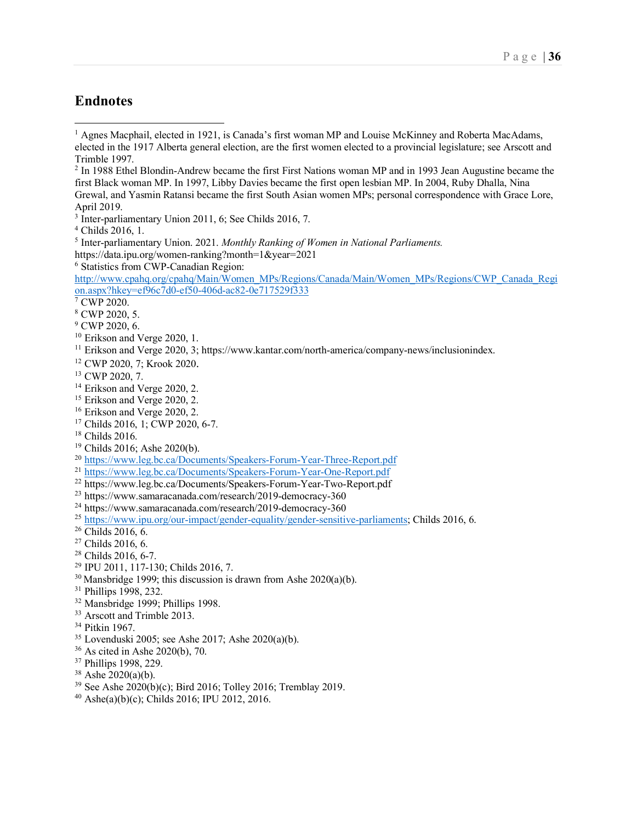## <span id="page-35-0"></span>**Endnotes**

<sup>2</sup> In 1988 Ethel Blondin-Andrew became the first First Nations woman MP and in 1993 Jean Augustine became the first Black woman MP. In 1997, Libby Davies became the first open lesbian MP. In 2004, Ruby Dhalla, Nina Grewal, and Yasmin Ratansi became the first South Asian women MPs; personal correspondence with Grace Lore, April 2019.

- <sup>11</sup> Erikson and Verge 2020, 3; https://www.kantar.com/north-america/company-news/inclusionindex.<br><sup>12</sup> CWP 2020, 7; Krook 2020.<br><sup>13</sup> CWP 2020, 7.
- 
- 
- $14$  Erikson and Verge 2020, 2.
- <sup>15</sup> Erikson and Verge 2020, 2.
- <sup>16</sup> Erikson and Verge 2020, 2.
- <sup>17</sup> Childs 2016, 1; CWP 2020, 6-7.
- 
- 
- <sup>18</sup> Childs 2016.<br><sup>19</sup> Childs 2016; Ashe 2020(b).<br><sup>20</sup> <https://www.leg.bc.ca/Documents/Speakers-Forum-Year-Three-Report.pdf>
- <sup>21</sup> <https://www.leg.bc.ca/Documents/Speakers-Forum-Year-One-Report.pdf>
- <sup>22</sup> <https://www.leg.bc.ca/Documents/Speakers-Forum-Year-Two-Report.pdf>
- <sup>23</sup> https://www.samaracanada.com/research/2019-democracy-360
- <sup>24</sup> https://www.samaracanada.com/research/2019-democracy-360
- <sup>25</sup> [https://www.ipu.org/our-impact/gender-equality/gender-sensitive-parliaments;](https://www.ipu.org/our-impact/gender-equality/gender-sensitive-parliaments) Childs 2016, 6.<br><sup>26</sup> Childs 2016, 6.
- 
- $27$  Childs 2016, 6.
- <sup>28</sup> Childs 2016, 6-7.
- <sup>29</sup> IPU 2011, 117-130; Childs 2016, 7.
- <sup>30</sup> Mansbridge 1999; this discussion is drawn from Ashe 2020(a)(b).<sup>31</sup> Phillips 1998, 232.
- 
- <sup>32</sup> Mansbridge 1999; Phillips 1998.
- <sup>33</sup> Arscott and Trimble 2013.
- <sup>34</sup> Pitkin 1967.
- <sup>35</sup> Lovenduski 2005; see Ashe 2017; Ashe 2020(a)(b). <sup>36</sup> As cited in Ashe 2020(b), 70.
- 
- $37$  Phillips 1998, 229.<br> $38$  Ashe 2020(a)(b).
- 
- $39$  See Ashe 2020(b)(c); Bird 2016; Tolley 2016; Tremblay 2019.
- $^{40}$  Ashe(a)(b)(c); Childs 2016; IPU 2012, 2016.

 $<sup>1</sup>$  Agnes Macphail, elected in 1921, is Canada's first woman MP and Louise McKinney and Roberta MacAdams,</sup> elected in the 1917 Alberta general election, are the first women elected to a provincial legislature; see Arscott and Trimble 1997.

<sup>&</sup>lt;sup>3</sup> Inter-parliamentary Union 2011, 6; See Childs 2016, 7.

<sup>4</sup> Childs 2016, 1.

<sup>5</sup> Inter-parliamentary Union. 2021. *Monthly Ranking of Women in National Parliaments.* 

https://data.ipu.org/women-ranking?month=1&year=2021

<sup>6</sup> Statistics from CWP-Canadian Region:

[http://www.cpahq.org/cpahq/Main/Women\\_MPs/Regions/Canada/Main/Women\\_MPs/Regions/CWP\\_Canada\\_Regi](http://www.cpahq.org/cpahq/Main/Women_MPs/Regions/Canada/Main/Women_MPs/Regions/CWP_Canada_Region.aspx?hkey=ef96c7d0-ef50-406d-ac82-0e717529f333) [on.aspx?hkey=ef96c7d0-ef50-406d-ac82-0e717529f333](http://www.cpahq.org/cpahq/Main/Women_MPs/Regions/Canada/Main/Women_MPs/Regions/CWP_Canada_Region.aspx?hkey=ef96c7d0-ef50-406d-ac82-0e717529f333)

 $\sqrt{7}$  CWP 2020.

<sup>8</sup> CWP 2020, 5.

<sup>&</sup>lt;sup>9</sup> CWP 2020, 6.

<sup>&</sup>lt;sup>10</sup> Erikson and Verge 2020, 1.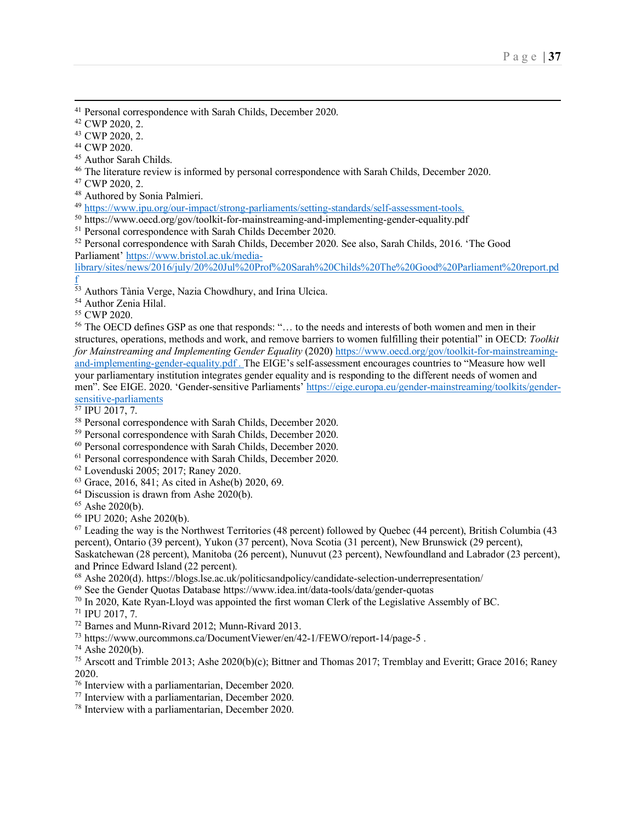<sup>41</sup> Personal correspondence with Sarah Childs, December 2020.<br><sup>42</sup> CWP 2020, 2.

<span id="page-36-0"></span><sup>43</sup> CWP 2020, 2.<br><sup>44</sup> CWP 2020.

<span id="page-36-1"></span><sup>45</sup> Author Sarah Childs.<br><sup>46</sup> The literature review is informed by personal correspondence with Sarah Childs, December 2020.<br><sup>47</sup> CWP 2020, 2.

<sup>48</sup> Authored by Sonia Palmieri.<br><sup>49</sup> https://www.ipu.org/our-impact/strong-parliaments/setting-standards/self-assessment-tools.

<span id="page-36-2"></span> $^{50}$  https://www.oecd.org/gov/toolkit-for-mainstreaming-and-implementing-gender-equality.pdf

<span id="page-36-3"></span><sup>51</sup> Personal correspondence with Sarah Childs December 2020.

<span id="page-36-4"></span><sup>52</sup> Personal correspondence with Sarah Childs, December 2020. See also, Sarah Childs, 2016. 'The Good Parliament' [https://www.bristol.ac.uk/media-](https://www.bristol.ac.uk/media-library/sites/news/2016/july/20%20Jul%20Prof%20Sarah%20Childs%20The%20Good%20Parliament%20report.pdf)

<span id="page-36-5"></span>[library/sites/news/2016/july/20%20Jul%20Prof%20Sarah%20Childs%20The%20Good%20Parliament%20report.pd](https://www.bristol.ac.uk/media-library/sites/news/2016/july/20%20Jul%20Prof%20Sarah%20Childs%20The%20Good%20Parliament%20report.pdf) [f](https://www.bristol.ac.uk/media-library/sites/news/2016/july/20%20Jul%20Prof%20Sarah%20Childs%20The%20Good%20Parliament%20report.pdf)

<sup>53</sup> Authors Tània Verge, Nazia Chowdhury, and Irina Ulcica.

<span id="page-36-6"></span><sup>54</sup> Author Zenia Hilal.

<span id="page-36-7"></span><sup>55</sup> CWP 2020.

<span id="page-36-11"></span><span id="page-36-10"></span><span id="page-36-9"></span><span id="page-36-8"></span><sup>56</sup> The OECD defines GSP as one that responds: "… to the needs and interests of both women and men in their structures, operations, methods and work, and remove barriers to women fulfilling their potential" in OECD: *Toolkit for Mainstreaming and Implementing Gender Equality* (2020) [https://www.oecd.org/gov/toolkit-for-mainstreaming](https://www.oecd.org/gov/toolkit-for-mainstreaming-and-implementing-gender-equality.pdf)[and-implementing-gender-equality.pdf](https://www.oecd.org/gov/toolkit-for-mainstreaming-and-implementing-gender-equality.pdf) . The EIGE's self-assessment encourages countries to "Measure how well your parliamentary institution integrates gender equality and is responding to the different needs of women and men". See EIGE. 2020. 'Gender-sensitive Parliaments' [https://eige.europa.eu/gender-mainstreaming/toolkits/gender](https://eige.europa.eu/gender-mainstreaming/toolkits/gender-sensitive-parliaments)[sensitive-parliaments](https://eige.europa.eu/gender-mainstreaming/toolkits/gender-sensitive-parliaments)

<span id="page-36-15"></span><span id="page-36-14"></span><span id="page-36-13"></span><span id="page-36-12"></span> $\frac{57}{1}$  IPU 2017, 7.

<span id="page-36-16"></span><sup>58</sup> Personal correspondence with Sarah Childs, December 2020.

<span id="page-36-17"></span><sup>59</sup> Personal correspondence with Sarah Childs, December 2020.

<span id="page-36-18"></span><sup>60</sup> Personal correspondence with Sarah Childs, December 2020.

<span id="page-36-19"></span><sup>61</sup> Personal correspondence with Sarah Childs, December 2020.

<span id="page-36-20"></span><sup>62</sup> Lovenduski 2005; 2017; Raney 2020.

<span id="page-36-21"></span><sup>63</sup> Grace, 2016, 841; As cited in Ashe(b) 2020, 69.

<span id="page-36-22"></span> $64$  Discussion is drawn from Ashe 2020(b).

<span id="page-36-23"></span><sup>65</sup> Ashe 2020(b).<br><sup>66</sup> IPU 2020: Ashe 2020(b).

<span id="page-36-26"></span><span id="page-36-25"></span><span id="page-36-24"></span> $67$  Leading the way is the Northwest Territories (48 percent) followed by Quebec (44 percent), British Columbia (43 percent), Ontario (39 percent), Yukon (37 percent), Nova Scotia (31 percent), New Brunswick (29 percent), Saskatchewan (28 percent), Manitoba (26 percent), Nunuvut (23 percent), Newfoundland and Labrador (23 percent),

<span id="page-36-29"></span><span id="page-36-28"></span><span id="page-36-27"></span><sup>68</sup> Ashe 2020(d). https://blogs.lse.ac.uk/politicsandpolicy/candidate-selection-underrepresentation/

<span id="page-36-30"></span><sup>69</sup> See the Gender Quotas Database https://www.idea.int/data-tools/data/gender-quotas  $^{70}$  In 2020, Kate Ryan-Lloyd was appointed the first woman Clerk of the Legislative Assembly of BC.

<span id="page-36-33"></span><span id="page-36-32"></span><span id="page-36-31"></span><sup>71</sup> IPU 2017, 7.<br><sup>72</sup> Barnes and Munn-Rivard 2012; Munn-Rivard 2013.<br><sup>73</sup> https://www.ourcommons.ca/DocumentViewer/en/42-1/FEWO/report-14/page-5.

<span id="page-36-36"></span><span id="page-36-35"></span><span id="page-36-34"></span><sup>74</sup> Ashe 2020(b).<br><sup>75</sup> Arscott and Trimble 2013; Ashe 2020(b)(c); Bittner and Thomas 2017; Tremblay and Everitt; Grace 2016; Raney 2020.  $\frac{76}{16}$  Interview with a parliamentarian, December 2020.

<span id="page-36-37"></span>

<span id="page-36-39"></span><span id="page-36-38"></span><sup>77</sup> Interview with a parliamentarian, December 2020.

<sup>78</sup> Interview with a parliamentarian, December 2020.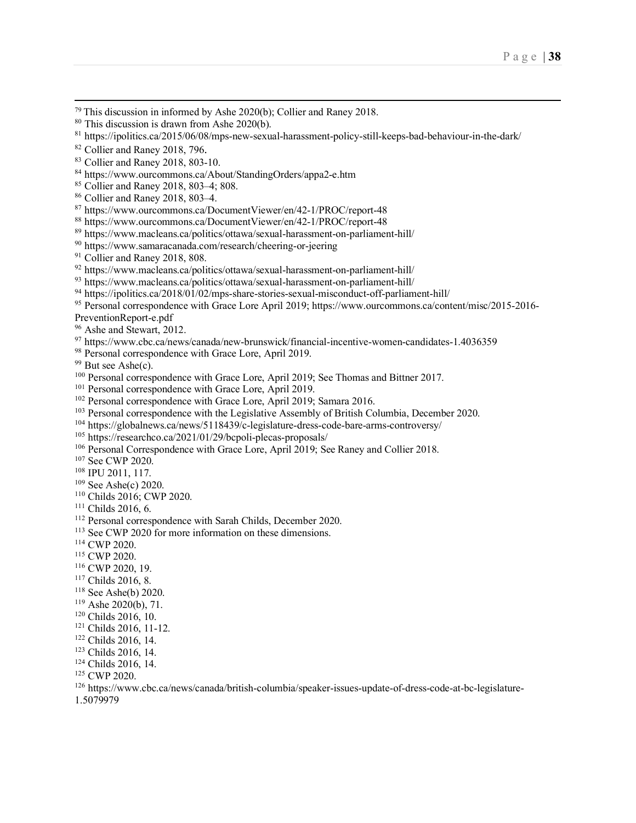<span id="page-37-2"></span>

<span id="page-37-1"></span><span id="page-37-0"></span><sup>79</sup> This discussion in informed by Ashe 2020(b); Collier and Raney 2018.<br><sup>80</sup> This discussion is drawn from Ashe 2020(b).<br><sup>81</sup> https://ipolitics.ca/2015/06/08/mps-new-sexual-harassment-policy-still-keeps-bad-behaviour-in

<span id="page-37-3"></span>82 Collier and Raney 2018, 796.

<span id="page-37-4"></span><sup>83</sup> Collier and Raney 2018, 803-10.

<span id="page-37-6"></span><span id="page-37-5"></span><sup>84</sup> https://www.ourcommons.ca/About/StandingOrders/appa2-e.htm

<sup>85</sup> Collier and Raney 2018, 803–4; 808.

<span id="page-37-7"></span><sup>86</sup> Collier and Raney 2018, 803–4.

<span id="page-37-8"></span><sup>87</sup> https://www.ourcommons.ca/DocumentViewer/en/42-1/PROC/report-48

<span id="page-37-9"></span><sup>88</sup> https://www.ourcommons.ca/DocumentViewer/en/42-1/PROC/report-48

<span id="page-37-10"></span><sup>89</sup> https://www.macleans.ca/politics/ottawa/sexual-harassment-on-parliament-hill/

<span id="page-37-11"></span><sup>90</sup> https://www.samaracanada.com/research/cheering-or-jeering

 $91$  Collier and Raney 2018, 808.

<sup>92</sup> https://www.macleans.ca/politics/ottawa/sexual-harassment-on-parliament-hill/

<sup>93</sup> https://www.macleans.ca/politics/ottawa/sexual-harassment-on-parliament-hill/

<span id="page-37-12"></span><sup>94</sup> https://ipolitics.ca/2018/01/02/mps-share-stories-sexual-misconduct-off-parliament-hill/

<span id="page-37-14"></span><span id="page-37-13"></span><sup>95</sup> Personal correspondence with Grace Lore April 2019; https://www.ourcommons.ca/content/misc/2015-2016- PreventionReport-e.pdf

<span id="page-37-15"></span><sup>96</sup> Ashe and Stewart, 2012.

<sup>97</sup> https://www.cbc.ca/news/canada/new-brunswick/financial-incentive-women-candidates-1.4036359

98 Personal correspondence with Grace Lore, April 2019.

 $99$  But see Ashe(c).

<sup>100</sup> Personal correspondence with Grace Lore, April 2019; See Thomas and Bittner 2017.<br><sup>101</sup> Personal correspondence with Grace Lore, April 2019.<br><sup>102</sup> Personal correspondence with Grace Lore, April 2019; Samara 2016.

<span id="page-37-16"></span> $103$  Personal correspondence with the Legislative Assembly of British Columbia, December 2020.

<span id="page-37-17"></span><sup>104</sup> https://globalnews.ca/news/5118439/c-legislature-dress-code-bare-arms-controversy/

<span id="page-37-18"></span><sup>105</sup> https://researchco.ca/2021/01/29/bcpoli-plecas-proposals/

<span id="page-37-19"></span><sup>106</sup> Personal Correspondence with Grace Lore, April 2019; See Raney and Collier 2018.<br><sup>107</sup> See CWP 2020.<br><sup>108</sup> IPU 2011, 117.

<span id="page-37-21"></span><span id="page-37-20"></span>

<span id="page-37-23"></span><span id="page-37-22"></span><sup>109</sup> See Ashe(c) 2020.<br><sup>110</sup> Childs 2016; CWP 2020.

<span id="page-37-25"></span><span id="page-37-24"></span><sup>111</sup> Childs 2016, 6. 112 Personal correspondence with Sarah Childs, December 2020.

<span id="page-37-26"></span><sup>113</sup> See CWP 2020 for more information on these dimensions.<br><sup>114</sup> CWP 2020.<br><sup>115</sup> CWP 2020. 19.

<span id="page-37-27"></span><sup>117</sup> Childs 2016, 8.

<span id="page-37-29"></span><span id="page-37-28"></span><sup>118</sup> See Ashe(b) 2020.<br><sup>119</sup> Ashe 2020(b), 71.<br><sup>120</sup> Childs 2016, 10.

<span id="page-37-30"></span>

<span id="page-37-32"></span><span id="page-37-31"></span><sup>121</sup> Childs 2016, 11-12.

<sup>122</sup> Childs 2016, 14.

<span id="page-37-33"></span><sup>123</sup> Childs 2016, 14.

<span id="page-37-34"></span><sup>124</sup> Childs 2016, 14.<br><sup>125</sup> CWP 2020.

<span id="page-37-35"></span>

<sup>126</sup> https://www.cbc.ca/news/canada/british-columbia/speaker-issues-update-of-dress-code-at-bc-legislature-

<span id="page-37-37"></span><span id="page-37-36"></span>1.5079979